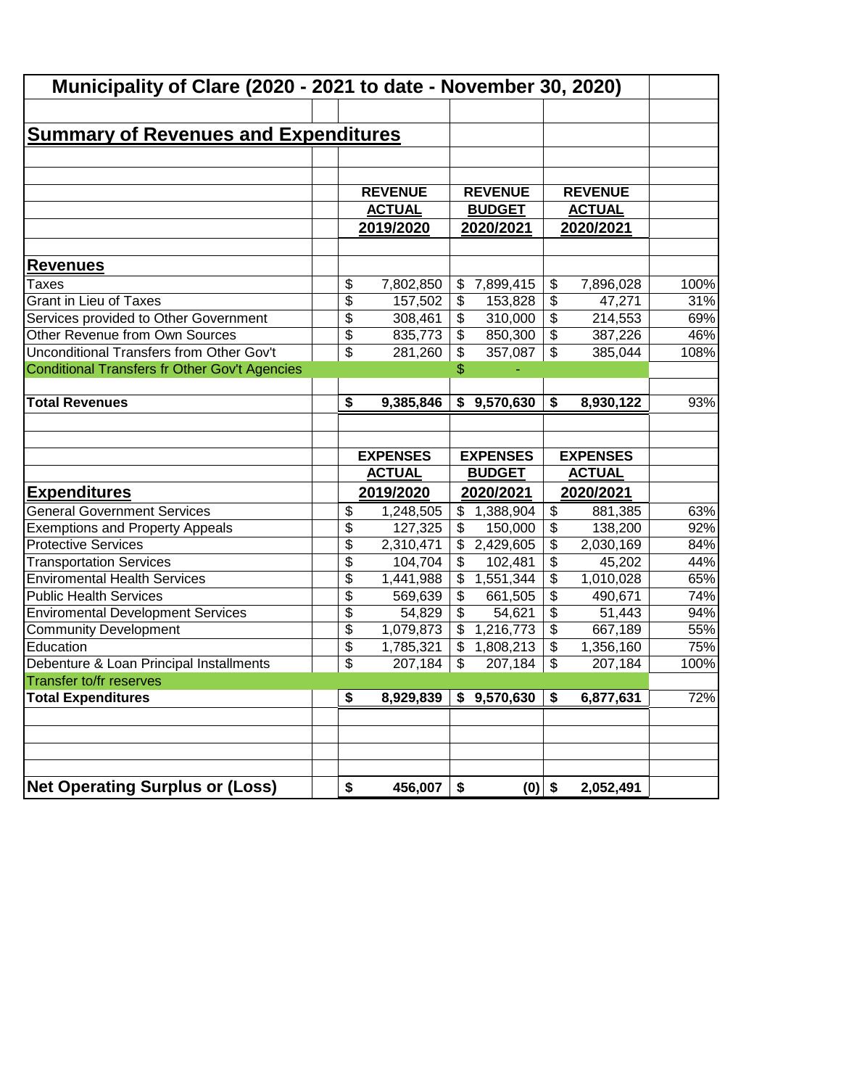| Municipality of Clare (2020 - 2021 to date - November 30, 2020)                                                                                                                        |                 |                            |                 |                           |                 |             |
|----------------------------------------------------------------------------------------------------------------------------------------------------------------------------------------|-----------------|----------------------------|-----------------|---------------------------|-----------------|-------------|
|                                                                                                                                                                                        |                 |                            |                 |                           |                 |             |
| <b>Summary of Revenues and Expenditures</b>                                                                                                                                            |                 |                            |                 |                           |                 |             |
|                                                                                                                                                                                        |                 |                            |                 |                           |                 |             |
|                                                                                                                                                                                        |                 |                            |                 |                           |                 |             |
|                                                                                                                                                                                        | <b>REVENUE</b>  |                            | <b>REVENUE</b>  |                           | <b>REVENUE</b>  |             |
|                                                                                                                                                                                        | <b>ACTUAL</b>   |                            | <b>BUDGET</b>   |                           | <b>ACTUAL</b>   |             |
|                                                                                                                                                                                        | 2019/2020       |                            | 2020/2021       |                           | 2020/2021       |             |
|                                                                                                                                                                                        |                 |                            |                 |                           |                 |             |
| <b>Revenues</b>                                                                                                                                                                        |                 |                            |                 |                           |                 |             |
| Taxes                                                                                                                                                                                  | \$<br>7,802,850 | $\boldsymbol{\mathsf{S}}$  | 7,899,415       | \$                        | 7,896,028       | 100%        |
| <b>Grant in Lieu of Taxes</b>                                                                                                                                                          | \$<br>157,502   | $\frac{1}{2}$              | 153,828         | \$                        | 47,271          | 31%         |
| Services provided to Other Government                                                                                                                                                  | \$<br>308,461   | \$                         | 310,000         | \$                        | 214,553         | 69%         |
| Other Revenue from Own Sources                                                                                                                                                         | \$<br>835,773   | \$                         | 850,300         | $\overline{\mathcal{L}}$  | 387,226         | 46%         |
| Unconditional Transfers from Other Gov't                                                                                                                                               | \$<br>281,260   | \$                         | 357,087         | \$                        | 385,044         | 108%        |
| Conditional Transfers fr Other Gov't Agencies                                                                                                                                          |                 | \$                         |                 |                           |                 |             |
|                                                                                                                                                                                        |                 |                            |                 |                           |                 |             |
| <b>Total Revenues</b>                                                                                                                                                                  | \$<br>9,385,846 | \$                         | 9,570,630       | \$                        | 8,930,122       | 93%         |
|                                                                                                                                                                                        |                 |                            |                 |                           |                 |             |
|                                                                                                                                                                                        | <b>EXPENSES</b> |                            | <b>EXPENSES</b> |                           | <b>EXPENSES</b> |             |
|                                                                                                                                                                                        | <b>ACTUAL</b>   |                            | <b>BUDGET</b>   |                           | <b>ACTUAL</b>   |             |
| <b>Expenditures</b>                                                                                                                                                                    | 2019/2020       |                            | 2020/2021       |                           | 2020/2021       |             |
| <b>General Government Services</b>                                                                                                                                                     | \$<br>1,248,505 | $\boldsymbol{\mathsf{S}}$  | 1,388,904       | \$                        | 881,385         | 63%         |
| <b>Exemptions and Property Appeals</b>                                                                                                                                                 | \$<br>127,325   | \$                         | 150,000         | \$                        | 138,200         | 92%         |
| <b>Protective Services</b>                                                                                                                                                             | \$<br>2,310,471 | \$                         | 2,429,605       | \$                        | 2,030,169       | 84%         |
| <b>Transportation Services</b>                                                                                                                                                         | \$<br>104,704   | \$                         | 102,481         | \$                        | 45,202          | 44%         |
| <b>Enviromental Health Services</b>                                                                                                                                                    | \$<br>1,441,988 | \$                         | 1,551,344       | \$                        | 1,010,028       | 65%         |
| <b>Public Health Services</b>                                                                                                                                                          | \$<br>569,639   | \$                         | 661,505         | \$                        | 490,671         | 74%         |
| <b>Enviromental Development Services</b>                                                                                                                                               | \$<br>54,829    | \$                         | 54,621          | \$                        | 51,443          | 94%         |
|                                                                                                                                                                                        |                 | \$                         | 1,216,773       | $\overline{\mathcal{L}}$  | 667,189         | 55%         |
|                                                                                                                                                                                        | \$<br>1,079,873 |                            |                 |                           |                 |             |
|                                                                                                                                                                                        | \$<br>1,785,321 | $\mathfrak{s}$             | 1,808,213       | $\overline{\mathcal{L}}$  | 1,356,160       |             |
|                                                                                                                                                                                        | \$<br>207,184   | $\boldsymbol{\mathsf{\$}}$ | 207,184         | $\boldsymbol{\mathsf{S}}$ | 207,184         |             |
|                                                                                                                                                                                        |                 |                            |                 |                           |                 | 75%         |
|                                                                                                                                                                                        | \$<br>8,929,839 |                            | \$9,570,630     | \$                        | 6,877,631       | 100%<br>72% |
|                                                                                                                                                                                        |                 |                            |                 |                           |                 |             |
|                                                                                                                                                                                        |                 |                            |                 |                           |                 |             |
|                                                                                                                                                                                        |                 |                            |                 |                           |                 |             |
| <b>Community Development</b><br>Education<br>Debenture & Loan Principal Installments<br>Transfer to/fr reserves<br><b>Total Expenditures</b><br><b>Net Operating Surplus or (Loss)</b> | \$<br>456,007   | \$                         | $(0)$ \$        |                           | 2,052,491       |             |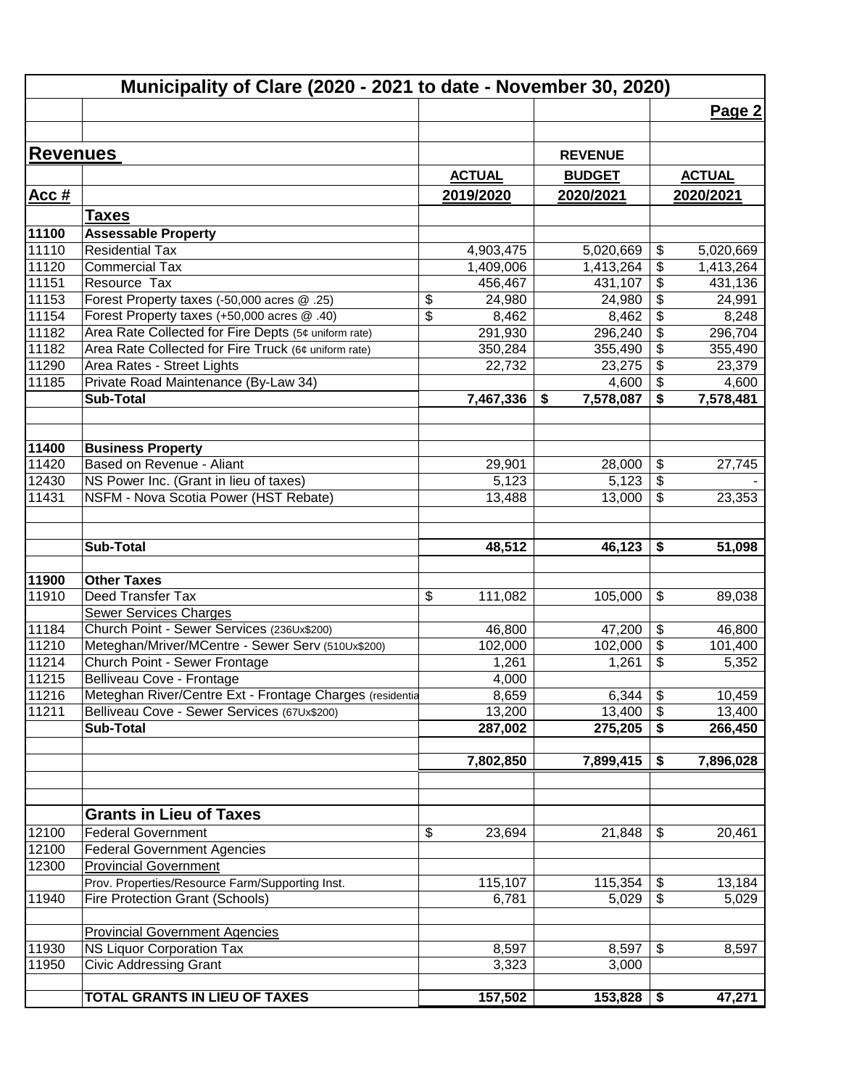|                 | Municipality of Clare (2020 - 2021 to date - November 30, 2020) |                             |                      |                                            |                      |
|-----------------|-----------------------------------------------------------------|-----------------------------|----------------------|--------------------------------------------|----------------------|
|                 |                                                                 |                             |                      |                                            | Page 2               |
|                 |                                                                 |                             |                      |                                            |                      |
| <b>Revenues</b> |                                                                 |                             | <b>REVENUE</b>       |                                            |                      |
|                 |                                                                 | <b>ACTUAL</b>               | <b>BUDGET</b>        |                                            | <b>ACTUAL</b>        |
|                 |                                                                 | 2019/2020                   | 2020/2021            |                                            | 2020/2021            |
| Acc#            |                                                                 |                             |                      |                                            |                      |
|                 | <u>Taxes</u>                                                    |                             |                      |                                            |                      |
| 11100           | <b>Assessable Property</b>                                      |                             |                      |                                            |                      |
| 11110<br>11120  | <b>Residential Tax</b><br><b>Commercial Tax</b>                 | 4,903,475                   | 5,020,669            | \$                                         | 5,020,669            |
| 11151           | Resource Tax                                                    | 1,409,006<br>456,467        | 1,413,264<br>431,107 | \$<br>$\overline{\boldsymbol{\mathsf{s}}}$ | 1,413,264<br>431,136 |
| 11153           | Forest Property taxes (-50,000 acres @ .25)                     |                             | 24,980               | $\frac{1}{2}$                              |                      |
| 11154           | Forest Property taxes (+50,000 acres @ .40)                     | \$<br>24,980<br>\$<br>8,462 | 8,462                | $\boldsymbol{\theta}$                      | 24,991<br>8,248      |
| 11182           | Area Rate Collected for Fire Depts (5¢ uniform rate)            | 291,930                     | 296,240              | $\boldsymbol{\theta}$                      | 296,704              |
| 11182           | Area Rate Collected for Fire Truck (6¢ uniform rate)            | 350,284                     | 355,490              | $\boldsymbol{\mathsf{S}}$                  | 355,490              |
| 11290           | Area Rates - Street Lights                                      | 22,732                      | 23,275               | $\boldsymbol{\mathsf{S}}$                  | 23,379               |
| 11185           | Private Road Maintenance (By-Law 34)                            |                             | 4,600                | $\boldsymbol{\mathsf{S}}$                  | 4,600                |
|                 | <b>Sub-Total</b>                                                | 7,467,336                   | 7,578,087<br>\$      | \$                                         | 7,578,481            |
|                 |                                                                 |                             |                      |                                            |                      |
| 11400           | <b>Business Property</b>                                        |                             |                      |                                            |                      |
| 11420           | Based on Revenue - Aliant                                       | 29,901                      | 28,000               | $\boldsymbol{\theta}$                      | 27,745               |
| 12430           | NS Power Inc. (Grant in lieu of taxes)                          | 5,123                       | 5,123                | $\boldsymbol{\mathsf{S}}$                  |                      |
| 11431           | NSFM - Nova Scotia Power (HST Rebate)                           | 13,488                      | 13,000               | $\boldsymbol{\mathsf{S}}$                  | 23,353               |
|                 |                                                                 |                             |                      |                                            |                      |
|                 |                                                                 |                             |                      |                                            |                      |
|                 | Sub-Total                                                       | 48,512                      | 46,123               | \$                                         | 51,098               |
| 11900           | <b>Other Taxes</b>                                              |                             |                      |                                            |                      |
| 11910           | Deed Transfer Tax                                               | \$<br>111,082               | 105,000              | $\boldsymbol{\theta}$                      | 89,038               |
|                 | <b>Sewer Services Charges</b>                                   |                             |                      |                                            |                      |
| 11184           | Church Point - Sewer Services (236Ux\$200)                      | 46,800                      | 47,200               | $\boldsymbol{\theta}$                      | 46,800               |
| 11210           | Meteghan/Mriver/MCentre - Sewer Serv (510Ux\$200)               | 102,000                     | 102,000              | $\boldsymbol{\theta}$                      | 101,400              |
| 11214           | Church Point - Sewer Frontage                                   | 1,261                       | 1,261                | \$                                         | 5,352                |
| 11215           | Belliveau Cove - Frontage                                       | 4,000                       |                      |                                            |                      |
| 11216           | Meteghan River/Centre Ext - Frontage Charges (residentia        | 8,659                       | 6,344                | $\boldsymbol{\mathsf{\$}}$                 | 10,459               |
| 11211           | Belliveau Cove - Sewer Services (67Ux\$200)                     | 13,200                      | 13,400               | \$                                         | 13,400               |
|                 | <b>Sub-Total</b>                                                | 287,002                     | 275,205              | \$                                         | 266,450              |
|                 |                                                                 |                             |                      |                                            |                      |
|                 |                                                                 | 7,802,850                   | 7,899,415            | \$                                         | 7,896,028            |
|                 |                                                                 |                             |                      |                                            |                      |
|                 | <b>Grants in Lieu of Taxes</b>                                  |                             |                      |                                            |                      |
| 12100           | <b>Federal Government</b>                                       | \$<br>23,694                | 21,848               | \$                                         | 20,461               |
| 12100           | <b>Federal Government Agencies</b>                              |                             |                      |                                            |                      |
| 12300           | <b>Provincial Government</b>                                    |                             |                      |                                            |                      |
|                 | Prov. Properties/Resource Farm/Supporting Inst.                 | 115,107                     | 115,354              | \$                                         | 13,184               |
| 11940           | <b>Fire Protection Grant (Schools)</b>                          | 6,781                       | 5,029                | $\overline{\mathcal{L}}$                   | 5,029                |
|                 | <b>Provincial Government Agencies</b>                           |                             |                      |                                            |                      |
| 11930           | NS Liquor Corporation Tax                                       | 8,597                       | 8,597                | $\boldsymbol{\mathsf{S}}$                  | 8,597                |
| 11950           | <b>Civic Addressing Grant</b>                                   | 3,323                       | 3,000                |                                            |                      |
|                 |                                                                 |                             |                      |                                            |                      |
|                 | <b>TOTAL GRANTS IN LIEU OF TAXES</b>                            | 157,502                     | 153,828              | \$                                         | 47,271               |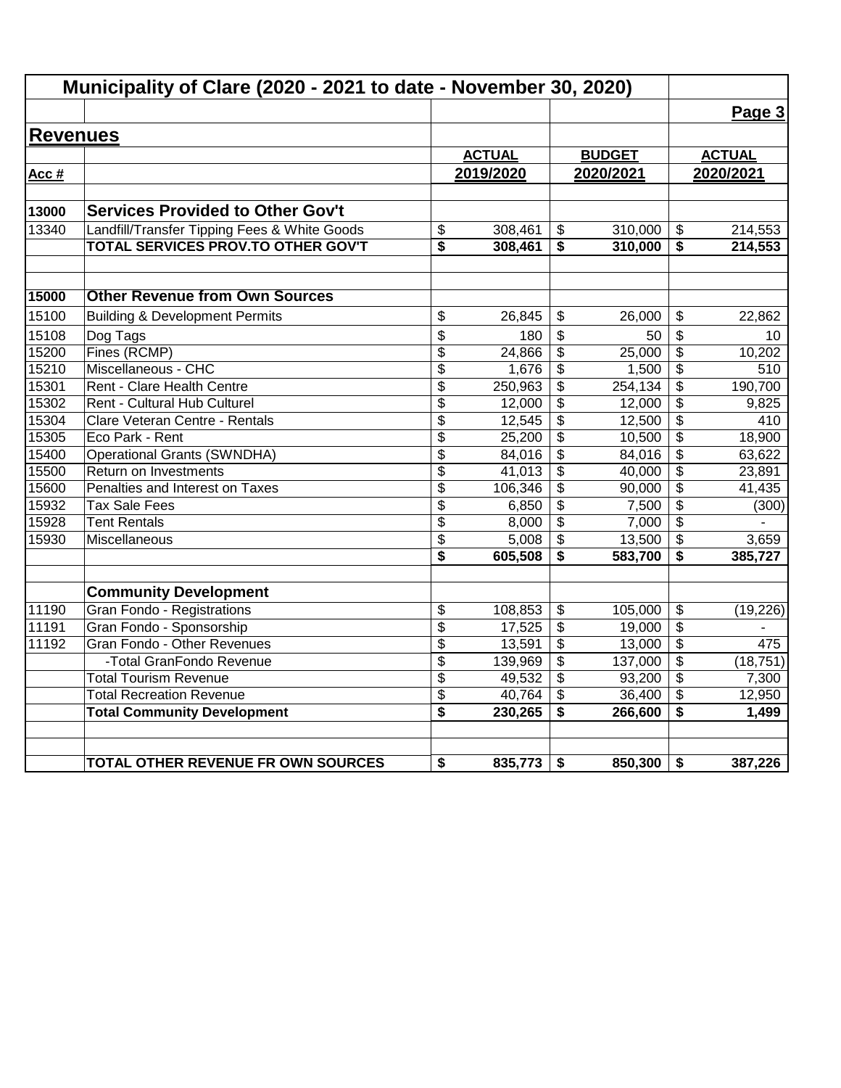|                 | Municipality of Clare (2020 - 2021 to date - November 30, 2020) |                 |               |                         |               |                                      |                  |
|-----------------|-----------------------------------------------------------------|-----------------|---------------|-------------------------|---------------|--------------------------------------|------------------|
|                 |                                                                 |                 |               |                         |               |                                      | Page 3           |
| <b>Revenues</b> |                                                                 |                 |               |                         |               |                                      |                  |
|                 |                                                                 |                 | <b>ACTUAL</b> |                         | <b>BUDGET</b> |                                      | <b>ACTUAL</b>    |
| Acc #           |                                                                 |                 | 2019/2020     |                         | 2020/2021     |                                      | 2020/2021        |
|                 |                                                                 |                 |               |                         |               |                                      |                  |
| 13000           | <b>Services Provided to Other Gov't</b>                         |                 |               |                         |               |                                      |                  |
| 13340           | Landfill/Transfer Tipping Fees & White Goods                    | \$              | 308,461       | \$                      | 310,000       | \$                                   | 214,553          |
|                 | TOTAL SERVICES PROV.TO OTHER GOV'T                              | \$              | 308,461       | \$                      | 310,000       | \$                                   | 214,553          |
| 15000           | <b>Other Revenue from Own Sources</b>                           |                 |               |                         |               |                                      |                  |
| 15100           | <b>Building &amp; Development Permits</b>                       | \$              | 26,845        | \$                      | 26.000        | \$                                   | 22,862           |
| 15108           |                                                                 | \$              | 180           |                         | 50            | \$                                   |                  |
| 15200           | Dog Tags<br>Fines (RCMP)                                        | \$              | 24,866        | \$<br>\$                | 25,000        | \$                                   | 10<br>10,202     |
| 15210           | Miscellaneous - CHC                                             | $\overline{\$}$ | 1,676         | \$                      | 1,500         | $\overline{\mathbf{S}}$              | $\overline{510}$ |
| 15301           | Rent - Clare Health Centre                                      | \$              | 250,963       | \$                      | 254, 134      | \$                                   | 190,700          |
| 15302           | Rent - Cultural Hub Culturel                                    | \$              | 12,000        | \$                      | 12,000        | \$                                   | 9,825            |
| 15304           | Clare Veteran Centre - Rentals                                  | \$              | 12,545        | $\overline{\mathbf{3}}$ | 12,500        | $\overline{\boldsymbol{\mathsf{s}}}$ | 410              |
| 15305           | Eco Park - Rent                                                 | \$              | 25,200        | \$                      | 10,500        | $\overline{\mathcal{S}}$             | 18,900           |
| 15400           | <b>Operational Grants (SWNDHA)</b>                              | \$              | 84,016        | \$                      | 84,016        | \$                                   | 63,622           |
| 15500           | Return on Investments                                           | $\overline{\$}$ | 41,013        | $\overline{\mathbf{3}}$ | 40,000        | $\overline{\$}$                      | 23,891           |
| 15600           | Penalties and Interest on Taxes                                 | \$              | 106,346       | \$                      | 90,000        | \$                                   | 41,435           |
| 15932           | <b>Tax Sale Fees</b>                                            | \$              | 6,850         | \$                      | 7,500         | $\frac{1}{2}$                        | (300)            |
| 15928           | <b>Tent Rentals</b>                                             | \$              | 8,000         | \$                      | 7,000         | \$                                   |                  |
| 15930           | Miscellaneous                                                   | \$              | 5,008         | $\overline{\mathbf{3}}$ | 13,500        | \$                                   | 3,659            |
|                 |                                                                 | \$              | 605,508       | \$                      | 583,700       | \$                                   | 385,727          |
|                 | <b>Community Development</b>                                    |                 |               |                         |               |                                      |                  |
| 11190           | Gran Fondo - Registrations                                      | \$              | 108,853       | \$                      | 105,000       | \$                                   | (19, 226)        |
| 11191           | Gran Fondo - Sponsorship                                        | \$              | 17,525        | \$                      | 19,000        | $\frac{1}{2}$                        |                  |
| 11192           | Gran Fondo - Other Revenues                                     | \$              | 13,591        | \$                      | 13,000        | \$                                   | 475              |
|                 | -Total GranFondo Revenue                                        | \$              | 139,969       | $\overline{\mathbf{e}}$ | 137,000       | $\overline{\boldsymbol{\theta}}$     | (18, 751)        |
|                 | <b>Total Tourism Revenue</b>                                    | \$              | 49,532        | \$                      | 93,200        | \$                                   | 7,300            |
|                 | <b>Total Recreation Revenue</b>                                 | \$              | 40,764        | \$                      | 36,400        | \$                                   | 12,950           |
|                 | <b>Total Community Development</b>                              | \$              | 230,265       | \$                      | 266,600       | \$                                   | 1,499            |
|                 | TOTAL OTHER REVENUE FR OWN SOURCES                              | \$              | 835,773       | \$                      | 850,300       | \$                                   | 387,226          |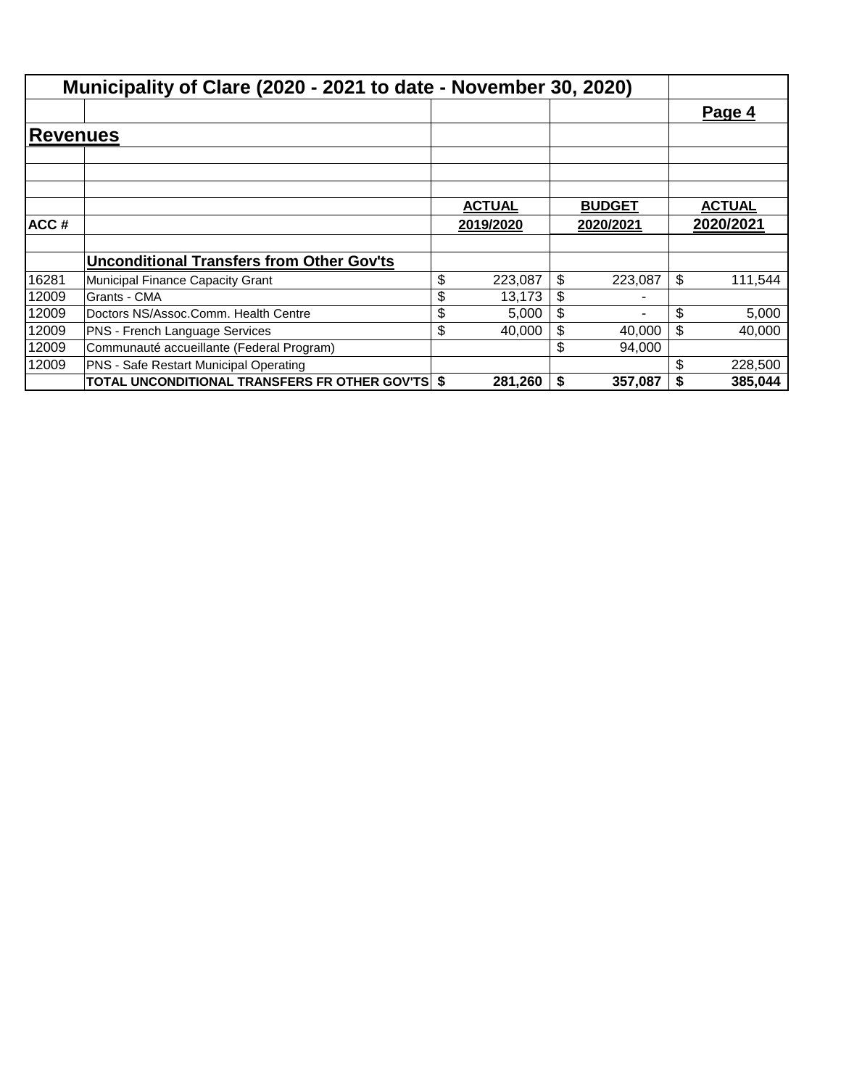|                 | Municipality of Clare (2020 - 2021 to date - November 30, 2020) |               |               |               |
|-----------------|-----------------------------------------------------------------|---------------|---------------|---------------|
|                 |                                                                 |               |               | Page 4        |
| <b>Revenues</b> |                                                                 |               |               |               |
|                 |                                                                 |               |               |               |
|                 |                                                                 |               |               |               |
|                 |                                                                 | <b>ACTUAL</b> | <b>BUDGET</b> | <b>ACTUAL</b> |
| ACC#            |                                                                 | 2019/2020     | 2020/2021     | 2020/2021     |
|                 |                                                                 |               |               |               |
|                 | <b>Unconditional Transfers from Other Gov'ts</b>                |               |               |               |
| 16281           | Municipal Finance Capacity Grant                                | \$<br>223,087 | \$<br>223,087 | \$<br>111,544 |
| 12009           | Grants - CMA                                                    | \$<br>13,173  | \$            |               |
| 12009           | Doctors NS/Assoc.Comm. Health Centre                            | \$<br>5,000   | \$<br>۰       | \$<br>5,000   |
| 12009           | <b>PNS - French Language Services</b>                           | \$<br>40,000  | \$<br>40,000  | \$<br>40,000  |
| 12009           | Communauté accueillante (Federal Program)                       |               | \$<br>94,000  |               |
| 12009           | PNS - Safe Restart Municipal Operating                          |               |               | \$<br>228,500 |
|                 | TOTAL UNCONDITIONAL TRANSFERS FR OTHER GOV'TS \$                | 281,260       | \$<br>357,087 | \$<br>385,044 |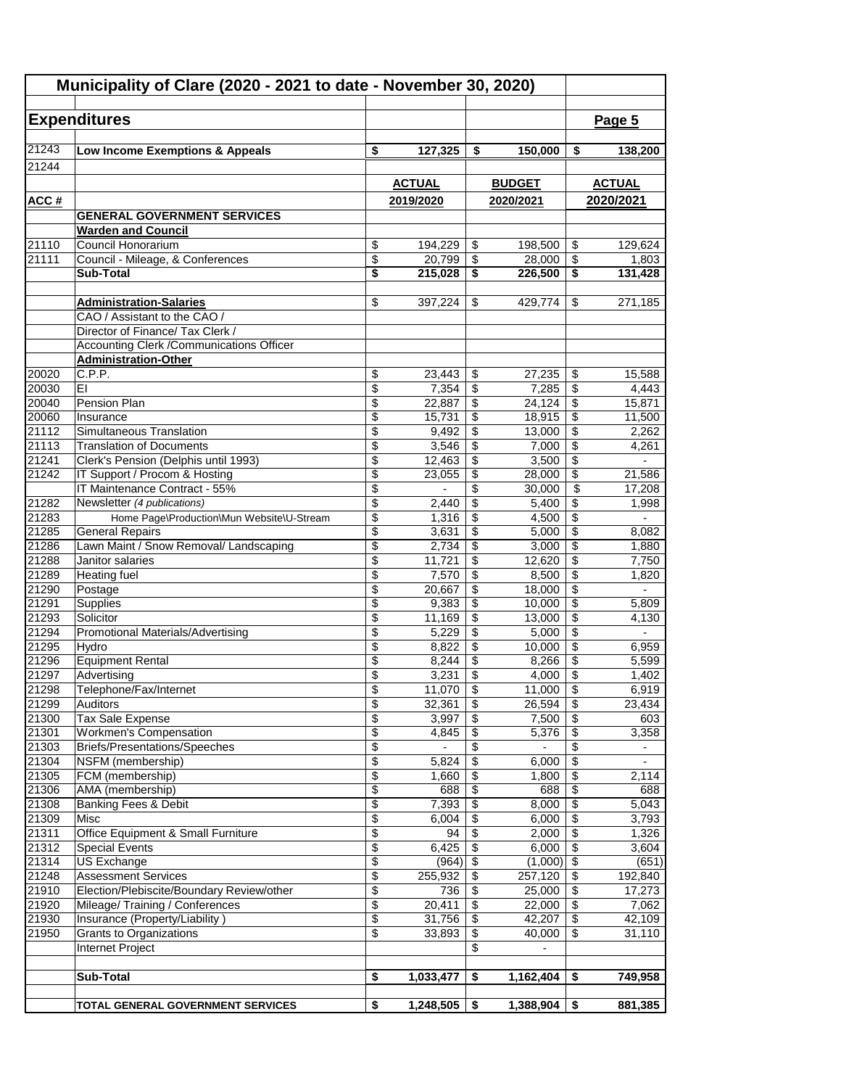| Municipality of Clare (2020 - 2021 to date - November 30, 2020) |                                                                                     |                 |                |                 |                   |                                                           |                          |
|-----------------------------------------------------------------|-------------------------------------------------------------------------------------|-----------------|----------------|-----------------|-------------------|-----------------------------------------------------------|--------------------------|
|                                                                 | <b>Expenditures</b>                                                                 |                 |                |                 |                   |                                                           | Page 5                   |
|                                                                 |                                                                                     |                 |                |                 |                   |                                                           |                          |
| 21243                                                           | Low Income Exemptions & Appeals                                                     | \$              | 127,325        | \$              | 150,000           | \$                                                        | 138,200                  |
| 21244                                                           |                                                                                     |                 |                |                 |                   |                                                           |                          |
|                                                                 |                                                                                     |                 | <b>ACTUAL</b>  |                 | <b>BUDGET</b>     |                                                           | <b>ACTUAL</b>            |
| ACC#                                                            |                                                                                     |                 | 2019/2020      |                 | 2020/2021         |                                                           | 2020/2021                |
|                                                                 | <b>GENERAL GOVERNMENT SERVICES</b>                                                  |                 |                |                 |                   |                                                           |                          |
|                                                                 | <b>Warden and Council</b>                                                           |                 |                |                 |                   |                                                           |                          |
| 21110                                                           | Council Honorarium                                                                  | \$              | 194,229        | \$              | 198,500           | \$                                                        | 129,624                  |
| 21111                                                           | Council - Mileage, & Conferences                                                    | \$              | 20,799         | \$              | 28,000            | \$                                                        | 1,803                    |
|                                                                 | Sub-Total                                                                           | \$              | 215,028        | \$              | 226,500           | \$                                                        | 131,428                  |
|                                                                 |                                                                                     |                 |                |                 |                   |                                                           |                          |
|                                                                 | <b>Administration-Salaries</b>                                                      | \$              | 397,224        | \$              | 429,774           | \$                                                        | 271,185                  |
|                                                                 | CAO / Assistant to the CAO /                                                        |                 |                |                 |                   |                                                           |                          |
|                                                                 | Director of Finance/ Tax Clerk /<br><b>Accounting Clerk /Communications Officer</b> |                 |                |                 |                   |                                                           |                          |
|                                                                 | <b>Administration-Other</b>                                                         |                 |                |                 |                   |                                                           |                          |
| 20020                                                           | C.P.P.                                                                              | \$              | 23,443         | \$              | 27,235            | \$                                                        | 15,588                   |
| 20030                                                           | EI                                                                                  | \$              | 7,354          | \$              | 7,285             | \$                                                        | 4,443                    |
| 20040                                                           | Pension Plan                                                                        | \$              | 22,887         | \$              | 24,124            | $\overline{\mathbf{s}}$                                   | 15,871                   |
| 20060                                                           | Insurance                                                                           | \$              | 15,731         | \$              | 18,915            | \$                                                        | 11,500                   |
| $2\overline{1112}$                                              | Simultaneous Translation                                                            | \$              | 9,492          | \$              | 13,000            | \$                                                        | 2,262                    |
| 21113                                                           | <b>Translation of Documents</b>                                                     | \$              | 3,546          | \$              | 7,000             | $\overline{\boldsymbol{\mathfrak{s}}}$                    | 4,261                    |
| 21241                                                           | Clerk's Pension (Delphis until 1993)                                                | $\overline{\$}$ | 12,463         | \$              | 3,500             | $\overline{\$}$                                           |                          |
| 21242                                                           | IT Support / Procom & Hosting                                                       | \$              | 23,055         | \$              | 28,000            | \$                                                        | 21,586                   |
|                                                                 | IT Maintenance Contract - 55%                                                       | \$              |                | \$              | 30,000            | \$                                                        | 17,208                   |
| 21282                                                           | Newsletter (4 publications)                                                         | \$              | 2,440          | \$              | 5,400             | \$                                                        | 1,998                    |
| 21283                                                           | Home Page\Production\Mun Website\U-Stream                                           | \$              | 1,316          | \$              | 4,500             | $\overline{\$}$                                           |                          |
| 21285                                                           | <b>General Repairs</b>                                                              | \$              | 3,631          | \$              | 5,000             | $\overline{\$}$                                           | 8,082                    |
| 21286                                                           | Lawn Maint / Snow Removal/ Landscaping                                              | \$              | 2,734          | \$              | 3,000             | $\overline{\boldsymbol{\mathfrak{s}}}$                    | 1,880                    |
| 21288                                                           | Janitor salaries                                                                    | $\overline{\$}$ | 11,721         | \$              | 12,620            | $\overline{\mathcal{S}}$                                  | 7,750                    |
| 21289                                                           | <b>Heating fuel</b>                                                                 | \$              | 7,570          | \$              | 8,500             | $\overline{\$}$                                           | 1,820                    |
| 21290                                                           | Postage                                                                             | \$              | 20,667         | \$              | 18,000            | \$                                                        | $\overline{\phantom{0}}$ |
| 21291                                                           | Supplies                                                                            | \$              | 9,383          | \$              | 10,000            | \$                                                        | 5,809                    |
| 21293<br>21294                                                  | Solicitor<br><b>Promotional Materials/Advertising</b>                               | \$<br>\$        | 11,169         | \$<br>\$        | 13,000<br>5,000   | $\overline{\boldsymbol{\mathfrak{s}}}$<br>$\overline{\$}$ | 4,130                    |
| 21295                                                           | Hydro                                                                               | \$              | 5,229<br>8,822 | \$              | 10,000            | $\overline{\mathcal{S}}$                                  | 6,959                    |
| 21296                                                           | <b>Equipment Rental</b>                                                             | \$              | 8,244          | \$              | 8,266             | \$                                                        | 5,599                    |
| 21297                                                           | Advertising                                                                         | \$              | 3,231          | \$              | 4,000             | $\overline{\mathcal{L}}$                                  | 1,402                    |
| 21298                                                           | Telephone/Fax/Internet                                                              | \$              | $11,070$ \$    |                 | 11,000            | $\overline{\mathcal{S}}$                                  | 6,919                    |
| 21299                                                           | Auditors                                                                            | \$              | 32,361         | \$              | 26,594            | \$                                                        | 23,434                   |
| 21300                                                           | Tax Sale Expense                                                                    | \$              | 3,997          | \$              | 7,500             | \$                                                        | 603                      |
| 21301                                                           | <b>Workmen's Compensation</b>                                                       | $\overline{\$}$ | 4,845          | $\overline{\$}$ | 5,376             | $\overline{\$}$                                           | 3,358                    |
| 21303                                                           | Briefs/Presentations/Speeches                                                       | \$              |                | \$              |                   | \$                                                        |                          |
| 21304                                                           | NSFM (membership)                                                                   | \$              | 5,824          | $\sqrt[6]{2}$   | 6,000             | $\sqrt{2}$                                                | $\overline{\phantom{0}}$ |
| 21305                                                           | FCM (membership)                                                                    | \$              | 1,660          | \$              | 1,800             | \$                                                        | 2,114                    |
| 21306                                                           | AMA (membership)                                                                    | \$              | 688            | \$              | 688               | \$                                                        | 688                      |
| 21308                                                           | Banking Fees & Debit                                                                | \$              | 7,393          | \$              | 8,000             | \$                                                        | 5,043                    |
| 21309                                                           | Misc                                                                                | \$              | 6,004          | \$              | 6,000             | $\overline{\$}$                                           | 3,793                    |
| 21311                                                           | Office Equipment & Small Furniture                                                  | $\overline{\$}$ | 94             | \$              | 2,000             | $\overline{\$}$                                           | 1,326                    |
| 21312                                                           | <b>Special Events</b>                                                               | \$              | 6,425          | $\overline{\$}$ | 6,000             | $\overline{\boldsymbol{\mathsf{s}}}$                      | 3,604                    |
| 21314                                                           | US Exchange                                                                         | \$              | $(964)$ \$     |                 | (1,000)           | $\sqrt[3]{3}$                                             | (651)                    |
| 21248<br>21910                                                  | <b>Assessment Services</b><br>Election/Plebiscite/Boundary Review/other             | \$<br>\$        | 255,932<br>736 | \$              | 257,120<br>25,000 | $\sqrt[6]{\frac{1}{2}}$<br>\$                             | 192,840<br>17,273        |
| 21920                                                           | Mileage/Training / Conferences                                                      | \$              | 20,411         | \$<br>\$        | 22,000            | $\overline{\boldsymbol{\mathfrak{s}}}$                    | 7,062                    |
| 21930                                                           | Insurance (Property/Liability)                                                      | $\overline{\$}$ | 31,756         | \$              | 42,207            | \$                                                        | 42,109                   |
| 21950                                                           | <b>Grants to Organizations</b>                                                      | \$              | 33,893         | \$              | 40,000            | \$                                                        | 31,110                   |
|                                                                 | Internet Project                                                                    |                 |                | \$              |                   |                                                           |                          |
|                                                                 |                                                                                     |                 |                |                 |                   |                                                           |                          |
|                                                                 | Sub-Total                                                                           | \$              | 1,033,477      | \$              | 1,162,404         | \$                                                        | 749,958                  |
|                                                                 |                                                                                     |                 |                |                 |                   |                                                           |                          |
|                                                                 | TOTAL GENERAL GOVERNMENT SERVICES                                                   | \$              | 1,248,505      | - \$            | 1,388,904         | \$                                                        | 881,385                  |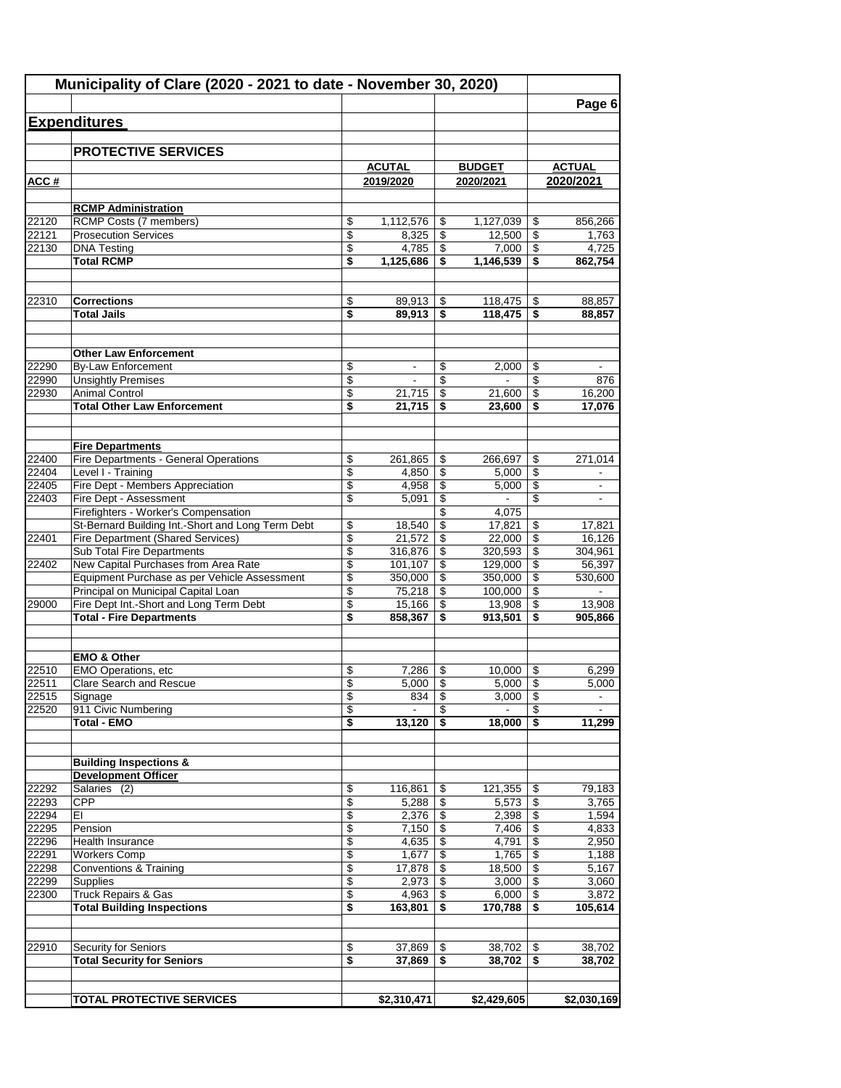|                | Municipality of Clare (2020 - 2021 to date - November 30, 2020)                      |          |                       |                 |                         |          |                   |
|----------------|--------------------------------------------------------------------------------------|----------|-----------------------|-----------------|-------------------------|----------|-------------------|
|                |                                                                                      |          |                       |                 |                         |          | Page 6            |
|                | <b>Expenditures</b>                                                                  |          |                       |                 |                         |          |                   |
|                | <b>PROTECTIVE SERVICES</b>                                                           |          |                       |                 |                         |          |                   |
|                |                                                                                      |          | <b>ACUTAL</b>         |                 | <b>BUDGET</b>           |          | <b>ACTUAL</b>     |
| ACC#           |                                                                                      |          | 2019/2020             |                 | 2020/2021               |          | 2020/2021         |
|                |                                                                                      |          |                       |                 |                         |          |                   |
|                | <b>RCMP Administration</b>                                                           |          |                       |                 |                         |          |                   |
| 22120          | RCMP Costs (7 members)                                                               | \$       | 1,112,576             | \$              | 1,127,039               | \$       | 856,266           |
| 22121<br>22130 | <b>Prosecution Services</b><br><b>DNA Testing</b>                                    | \$<br>\$ | 8,325<br>4,785        | \$<br>\$        | 12,500<br>7,000         | \$<br>\$ | 1,763<br>4.725    |
|                | <b>Total RCMP</b>                                                                    | \$       | 1,125,686             | \$              | 1,146,539               | \$       | 862,754           |
|                |                                                                                      |          |                       |                 |                         |          |                   |
| 22310          | <b>Corrections</b>                                                                   | \$       | 89,913                | \$              | 118,475                 | \$       | 88,857            |
|                | <b>Total Jails</b>                                                                   | \$       | 89,913                | \$              | 118,475                 | \$       | 88,857            |
|                |                                                                                      |          |                       |                 |                         |          |                   |
|                | <b>Other Law Enforcement</b>                                                         |          |                       |                 |                         |          |                   |
| 22290          | <b>By-Law Enforcement</b>                                                            | \$       | -                     | \$              | 2,000                   | \$       |                   |
| 22990          | <b>Unsightly Premises</b>                                                            | \$       |                       | \$              |                         | \$       | 876               |
| 22930          | <b>Animal Control</b>                                                                | \$       | 21,715                | \$              | 21,600                  | \$       | 16,200            |
|                | <b>Total Other Law Enforcement</b>                                                   | \$       | 21.715                | \$              | 23,600                  | \$       | 17,076            |
|                |                                                                                      |          |                       |                 |                         |          |                   |
| 22400          | <b>Fire Departments</b><br>Fire Departments - General Operations                     | \$       | 261,865               | \$              | 266,697                 | \$       | 271,014           |
| 22404          | Level I - Training                                                                   | \$       | 4,850                 | \$              | 5,000                   | \$       |                   |
| 22405          | Fire Dept - Members Appreciation                                                     | \$       | 4,958                 | \$              | 5,000                   | \$       |                   |
| 22403          | Fire Dept - Assessment                                                               | \$       | 5,091                 | \$              |                         | \$       | ۰                 |
|                | Firefighters - Worker's Compensation                                                 |          |                       | $\overline{\$}$ | 4,075                   |          |                   |
|                | St-Bernard Building Int.-Short and Long Term Debt                                    | \$       | 18,540                | \$              | 17,821                  | \$       | 17,821            |
| 22401          | Fire Department (Shared Services)                                                    | \$       | 21,572                | \$              | 22,000                  | \$       | 16,126            |
|                | Sub Total Fire Departments                                                           | \$       | 316,876               | \$              | 320,593                 | \$       | 304,961           |
| 22402          | New Capital Purchases from Area Rate<br>Equipment Purchase as per Vehicle Assessment | \$<br>\$ | 101,107<br>350,000    | \$<br>\$        | 129,000<br>350,000      | \$<br>\$ | 56,397<br>530,600 |
|                | Principal on Municipal Capital Loan                                                  | \$       | 75,218                | \$              | 100,000                 | \$       |                   |
| 29000          | Fire Dept Int.-Short and Long Term Debt                                              | \$       | 15,166                | \$              | 13,908                  | \$       | 13,908            |
|                | <b>Total - Fire Departments</b>                                                      | \$       | 858,367               | \$              | 913,501                 | \$       | 905,866           |
|                |                                                                                      |          |                       |                 |                         |          |                   |
|                | <b>EMO &amp; Other</b>                                                               |          |                       |                 |                         |          |                   |
| 22510          | EMO Operations, etc                                                                  | \$       | 7,286                 | \$              | 10,000                  | \$       | 6,299             |
| 22511          | <b>Clare Search and Rescue</b>                                                       | \$       | 5,000                 | \$              | 5,000                   | \$       | 5,000             |
| 22515<br>22520 | Signage<br>911 Civic Numbering                                                       | \$<br>\$ | 834<br>$\blacksquare$ | \$<br>\$        | 3,000<br>$\blacksquare$ | \$<br>\$ | $\blacksquare$    |
|                | <b>Total - EMO</b>                                                                   | \$       | 13,120                | \$              | 18,000                  | \$       | 11,299            |
|                |                                                                                      |          |                       |                 |                         |          |                   |
|                | <b>Building Inspections &amp;</b>                                                    |          |                       |                 |                         |          |                   |
|                | <b>Development Officer</b>                                                           |          |                       |                 |                         |          |                   |
| 22292          | Salaries (2)                                                                         | \$       | 116,861               | \$              | 121,355                 | \$       | 79,183            |
| 22293<br>22294 | <b>CPP</b><br>EI                                                                     | \$<br>\$ | 5,288<br>2,376        | \$<br>\$        | 5,573<br>2,398          | \$<br>\$ | 3,765<br>1,594    |
| 22295          | Pension                                                                              | \$       | 7,150                 | \$              | 7,406                   | \$       | 4,833             |
| 22296          | Health Insurance                                                                     | \$       | 4,635                 | \$              | 4,791                   | \$       | 2,950             |
| 22291          | <b>Workers Comp</b>                                                                  | \$       | 1,677                 | \$              | 1,765                   | \$       | 1,188             |
| 22298          | <b>Conventions &amp; Training</b>                                                    | \$       | 17,878                | \$              | 18,500                  | \$       | 5,167             |
| 22299          | <b>Supplies</b>                                                                      | \$       | 2,973                 | \$              | 3,000                   | \$       | 3,060             |
| 22300          | Truck Repairs & Gas                                                                  | \$       | 4,963                 | \$              | 6,000                   | \$       | 3,872             |
|                | <b>Total Building Inspections</b>                                                    | \$       | 163,801               | \$              | 170,788                 | \$       | 105,614           |
|                |                                                                                      |          |                       |                 |                         |          |                   |
| 22910          | <b>Security for Seniors</b>                                                          | \$       | 37,869                | \$              | 38,702                  | \$       | 38,702            |
|                | <b>Total Security for Seniors</b>                                                    | \$       | 37,869                | \$              | 38,702                  | \$       | 38,702            |
|                |                                                                                      |          |                       |                 |                         |          |                   |
|                | <b>TOTAL PROTECTIVE SERVICES</b>                                                     |          | \$2,310,471           |                 | \$2,429,605             |          | \$2,030,169       |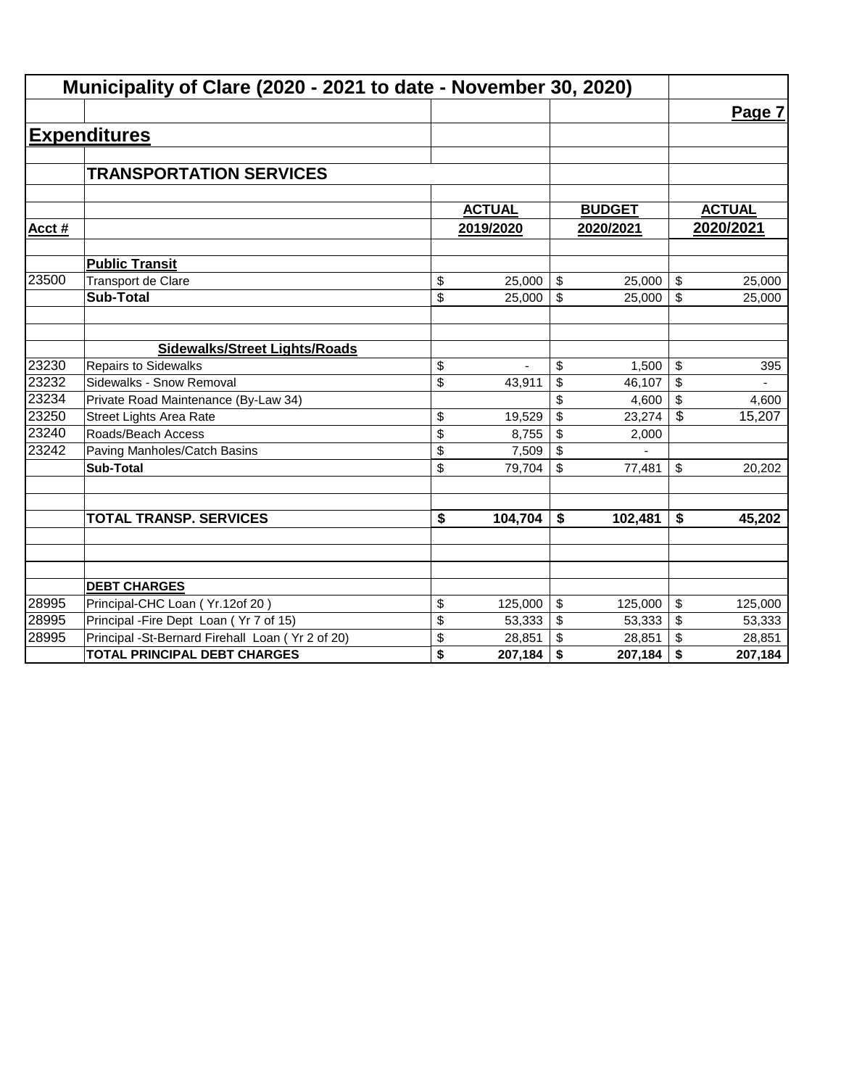|       | Municipality of Clare (2020 - 2021 to date - November 30, 2020) |                                      |               |                         |               |               |
|-------|-----------------------------------------------------------------|--------------------------------------|---------------|-------------------------|---------------|---------------|
|       |                                                                 |                                      |               |                         |               | Page 7        |
|       | <b>Expenditures</b>                                             |                                      |               |                         |               |               |
|       |                                                                 |                                      |               |                         |               |               |
|       | <b>TRANSPORTATION SERVICES</b>                                  |                                      |               |                         |               |               |
|       |                                                                 |                                      |               |                         |               |               |
|       |                                                                 |                                      | <b>ACTUAL</b> |                         | <b>BUDGET</b> | <b>ACTUAL</b> |
| Acct# |                                                                 |                                      | 2019/2020     |                         | 2020/2021     | 2020/2021     |
|       | <b>Public Transit</b>                                           |                                      |               |                         |               |               |
| 23500 | <b>Transport de Clare</b>                                       | \$                                   | 25,000        | \$                      | 25,000        | \$<br>25,000  |
|       | <b>Sub-Total</b>                                                | \$                                   | 25,000        | $\mathfrak{S}$          | 25,000        | \$<br>25,000  |
|       |                                                                 |                                      |               |                         |               |               |
|       | <b>Sidewalks/Street Lights/Roads</b>                            |                                      |               |                         |               |               |
| 23230 | <b>Repairs to Sidewalks</b>                                     | \$                                   |               | \$                      | 1,500         | \$<br>395     |
| 23232 | Sidewalks - Snow Removal                                        | \$                                   | 43,911        | \$                      | 46,107        | \$            |
| 23234 | Private Road Maintenance (By-Law 34)                            |                                      |               | \$                      | 4,600         | \$<br>4,600   |
| 23250 | <b>Street Lights Area Rate</b>                                  | \$                                   | 19,529        | \$                      | 23,274        | \$<br>15,207  |
| 23240 | Roads/Beach Access                                              | \$                                   | 8,755         | \$                      | 2,000         |               |
| 23242 | Paving Manholes/Catch Basins                                    | \$                                   | 7,509         | \$                      |               |               |
|       | <b>Sub-Total</b>                                                | \$                                   | 79,704        | \$                      | 77,481        | \$<br>20,202  |
|       |                                                                 |                                      |               |                         |               |               |
|       | <b>TOTAL TRANSP. SERVICES</b>                                   | $\overline{\boldsymbol{\mathsf{s}}}$ | 104,704       | \$                      | 102,481       | \$<br>45,202  |
|       |                                                                 |                                      |               |                         |               |               |
|       |                                                                 |                                      |               |                         |               |               |
|       | <b>DEBT CHARGES</b>                                             |                                      |               |                         |               |               |
| 28995 | Principal-CHC Loan (Yr.12of 20)                                 | \$                                   | 125,000       | $\sqrt[6]{\frac{1}{2}}$ | 125,000       | \$<br>125,000 |
| 28995 | Principal - Fire Dept Loan (Yr 7 of 15)                         | \$                                   | 53,333        | \$                      | 53,333        | \$<br>53,333  |
| 28995 | Principal -St-Bernard Firehall Loan (Yr 2 of 20)                | \$                                   | 28,851        | \$                      | 28,851        | \$<br>28,851  |
|       | <b>TOTAL PRINCIPAL DEBT CHARGES</b>                             | \$                                   | 207,184       | \$                      | 207,184       | \$<br>207,184 |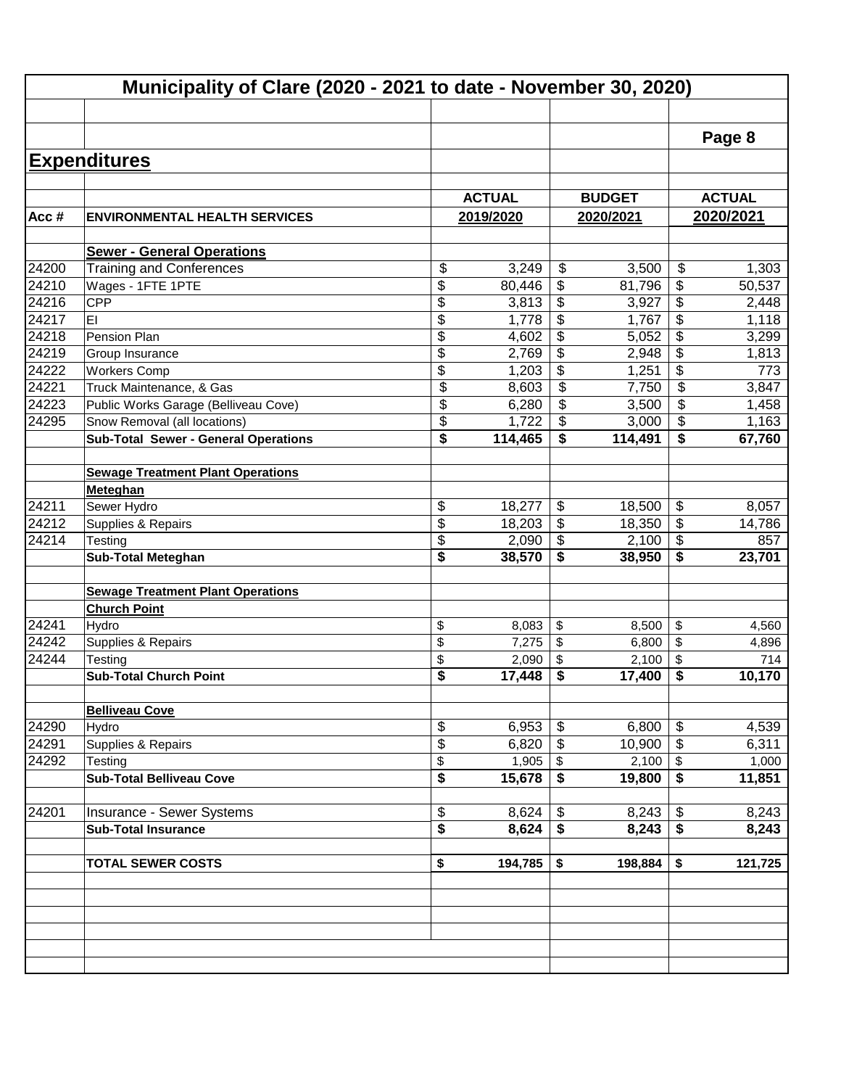| <b>ENVIRONMENTAL HEALTH SERVICES</b><br><b>Sewer - General Operations</b> |                                                                                                                                                                                                                                                                                                                                                                                                                                                                                                                                                                  | <b>ACTUAL</b>                                                                                                                        |                                                                                                                                                                                  |                                                                                                                                                                                    |                                                                                                                                                                | Page 8                                                                                                                                                                                                                         |
|---------------------------------------------------------------------------|------------------------------------------------------------------------------------------------------------------------------------------------------------------------------------------------------------------------------------------------------------------------------------------------------------------------------------------------------------------------------------------------------------------------------------------------------------------------------------------------------------------------------------------------------------------|--------------------------------------------------------------------------------------------------------------------------------------|----------------------------------------------------------------------------------------------------------------------------------------------------------------------------------|------------------------------------------------------------------------------------------------------------------------------------------------------------------------------------|----------------------------------------------------------------------------------------------------------------------------------------------------------------|--------------------------------------------------------------------------------------------------------------------------------------------------------------------------------------------------------------------------------|
|                                                                           |                                                                                                                                                                                                                                                                                                                                                                                                                                                                                                                                                                  |                                                                                                                                      |                                                                                                                                                                                  |                                                                                                                                                                                    |                                                                                                                                                                |                                                                                                                                                                                                                                |
|                                                                           |                                                                                                                                                                                                                                                                                                                                                                                                                                                                                                                                                                  |                                                                                                                                      |                                                                                                                                                                                  |                                                                                                                                                                                    |                                                                                                                                                                |                                                                                                                                                                                                                                |
|                                                                           |                                                                                                                                                                                                                                                                                                                                                                                                                                                                                                                                                                  |                                                                                                                                      |                                                                                                                                                                                  |                                                                                                                                                                                    |                                                                                                                                                                |                                                                                                                                                                                                                                |
|                                                                           |                                                                                                                                                                                                                                                                                                                                                                                                                                                                                                                                                                  |                                                                                                                                      |                                                                                                                                                                                  | <b>BUDGET</b>                                                                                                                                                                      |                                                                                                                                                                | <b>ACTUAL</b>                                                                                                                                                                                                                  |
|                                                                           |                                                                                                                                                                                                                                                                                                                                                                                                                                                                                                                                                                  | 2019/2020                                                                                                                            |                                                                                                                                                                                  | 2020/2021                                                                                                                                                                          |                                                                                                                                                                | 2020/2021                                                                                                                                                                                                                      |
|                                                                           |                                                                                                                                                                                                                                                                                                                                                                                                                                                                                                                                                                  |                                                                                                                                      |                                                                                                                                                                                  |                                                                                                                                                                                    |                                                                                                                                                                |                                                                                                                                                                                                                                |
|                                                                           |                                                                                                                                                                                                                                                                                                                                                                                                                                                                                                                                                                  |                                                                                                                                      |                                                                                                                                                                                  |                                                                                                                                                                                    |                                                                                                                                                                |                                                                                                                                                                                                                                |
| <b>Training and Conferences</b>                                           | \$                                                                                                                                                                                                                                                                                                                                                                                                                                                                                                                                                               | 3,249                                                                                                                                | \$                                                                                                                                                                               | 3,500                                                                                                                                                                              | $\boldsymbol{\mathsf{S}}$                                                                                                                                      | 1,303                                                                                                                                                                                                                          |
| Wages - 1FTE 1PTE                                                         | \$                                                                                                                                                                                                                                                                                                                                                                                                                                                                                                                                                               | 80,446                                                                                                                               | \$                                                                                                                                                                               | 81,796                                                                                                                                                                             | \$                                                                                                                                                             | 50,537                                                                                                                                                                                                                         |
|                                                                           | \$                                                                                                                                                                                                                                                                                                                                                                                                                                                                                                                                                               | 3,813                                                                                                                                | \$                                                                                                                                                                               | 3,927                                                                                                                                                                              | \$                                                                                                                                                             | 2,448                                                                                                                                                                                                                          |
|                                                                           | \$                                                                                                                                                                                                                                                                                                                                                                                                                                                                                                                                                               | 1,778                                                                                                                                | \$                                                                                                                                                                               | 1,767                                                                                                                                                                              | \$                                                                                                                                                             | 1,118                                                                                                                                                                                                                          |
| Pension Plan                                                              | \$                                                                                                                                                                                                                                                                                                                                                                                                                                                                                                                                                               | 4,602                                                                                                                                | \$                                                                                                                                                                               | 5,052                                                                                                                                                                              | \$                                                                                                                                                             | 3,299                                                                                                                                                                                                                          |
| Group Insurance                                                           | \$                                                                                                                                                                                                                                                                                                                                                                                                                                                                                                                                                               | 2,769                                                                                                                                | $\overline{\mathbf{e}}$                                                                                                                                                          | 2,948                                                                                                                                                                              | \$                                                                                                                                                             | 1,813                                                                                                                                                                                                                          |
| <b>Workers Comp</b>                                                       | \$                                                                                                                                                                                                                                                                                                                                                                                                                                                                                                                                                               | 1,203                                                                                                                                | \$                                                                                                                                                                               | 1,251                                                                                                                                                                              | \$                                                                                                                                                             | 773                                                                                                                                                                                                                            |
|                                                                           |                                                                                                                                                                                                                                                                                                                                                                                                                                                                                                                                                                  |                                                                                                                                      |                                                                                                                                                                                  |                                                                                                                                                                                    |                                                                                                                                                                | 3,847                                                                                                                                                                                                                          |
|                                                                           |                                                                                                                                                                                                                                                                                                                                                                                                                                                                                                                                                                  |                                                                                                                                      |                                                                                                                                                                                  |                                                                                                                                                                                    |                                                                                                                                                                | 1,458                                                                                                                                                                                                                          |
|                                                                           |                                                                                                                                                                                                                                                                                                                                                                                                                                                                                                                                                                  |                                                                                                                                      |                                                                                                                                                                                  |                                                                                                                                                                                    |                                                                                                                                                                | 1,163                                                                                                                                                                                                                          |
|                                                                           |                                                                                                                                                                                                                                                                                                                                                                                                                                                                                                                                                                  |                                                                                                                                      |                                                                                                                                                                                  |                                                                                                                                                                                    |                                                                                                                                                                | 67,760                                                                                                                                                                                                                         |
|                                                                           |                                                                                                                                                                                                                                                                                                                                                                                                                                                                                                                                                                  |                                                                                                                                      |                                                                                                                                                                                  |                                                                                                                                                                                    |                                                                                                                                                                |                                                                                                                                                                                                                                |
|                                                                           |                                                                                                                                                                                                                                                                                                                                                                                                                                                                                                                                                                  |                                                                                                                                      |                                                                                                                                                                                  |                                                                                                                                                                                    |                                                                                                                                                                |                                                                                                                                                                                                                                |
|                                                                           |                                                                                                                                                                                                                                                                                                                                                                                                                                                                                                                                                                  |                                                                                                                                      |                                                                                                                                                                                  |                                                                                                                                                                                    |                                                                                                                                                                |                                                                                                                                                                                                                                |
|                                                                           |                                                                                                                                                                                                                                                                                                                                                                                                                                                                                                                                                                  |                                                                                                                                      |                                                                                                                                                                                  |                                                                                                                                                                                    |                                                                                                                                                                | 8,057                                                                                                                                                                                                                          |
|                                                                           |                                                                                                                                                                                                                                                                                                                                                                                                                                                                                                                                                                  |                                                                                                                                      |                                                                                                                                                                                  |                                                                                                                                                                                    |                                                                                                                                                                | 14,786                                                                                                                                                                                                                         |
|                                                                           |                                                                                                                                                                                                                                                                                                                                                                                                                                                                                                                                                                  |                                                                                                                                      |                                                                                                                                                                                  |                                                                                                                                                                                    |                                                                                                                                                                | 857                                                                                                                                                                                                                            |
|                                                                           |                                                                                                                                                                                                                                                                                                                                                                                                                                                                                                                                                                  |                                                                                                                                      |                                                                                                                                                                                  |                                                                                                                                                                                    |                                                                                                                                                                | 23,701                                                                                                                                                                                                                         |
|                                                                           |                                                                                                                                                                                                                                                                                                                                                                                                                                                                                                                                                                  |                                                                                                                                      |                                                                                                                                                                                  |                                                                                                                                                                                    |                                                                                                                                                                |                                                                                                                                                                                                                                |
|                                                                           |                                                                                                                                                                                                                                                                                                                                                                                                                                                                                                                                                                  |                                                                                                                                      |                                                                                                                                                                                  |                                                                                                                                                                                    |                                                                                                                                                                |                                                                                                                                                                                                                                |
|                                                                           |                                                                                                                                                                                                                                                                                                                                                                                                                                                                                                                                                                  |                                                                                                                                      |                                                                                                                                                                                  |                                                                                                                                                                                    |                                                                                                                                                                | 4,560                                                                                                                                                                                                                          |
|                                                                           |                                                                                                                                                                                                                                                                                                                                                                                                                                                                                                                                                                  |                                                                                                                                      |                                                                                                                                                                                  |                                                                                                                                                                                    |                                                                                                                                                                | 4,896                                                                                                                                                                                                                          |
|                                                                           |                                                                                                                                                                                                                                                                                                                                                                                                                                                                                                                                                                  |                                                                                                                                      |                                                                                                                                                                                  |                                                                                                                                                                                    |                                                                                                                                                                | 714                                                                                                                                                                                                                            |
|                                                                           |                                                                                                                                                                                                                                                                                                                                                                                                                                                                                                                                                                  |                                                                                                                                      |                                                                                                                                                                                  |                                                                                                                                                                                    |                                                                                                                                                                | 10,170                                                                                                                                                                                                                         |
|                                                                           |                                                                                                                                                                                                                                                                                                                                                                                                                                                                                                                                                                  |                                                                                                                                      |                                                                                                                                                                                  |                                                                                                                                                                                    |                                                                                                                                                                |                                                                                                                                                                                                                                |
|                                                                           |                                                                                                                                                                                                                                                                                                                                                                                                                                                                                                                                                                  |                                                                                                                                      |                                                                                                                                                                                  |                                                                                                                                                                                    |                                                                                                                                                                |                                                                                                                                                                                                                                |
|                                                                           |                                                                                                                                                                                                                                                                                                                                                                                                                                                                                                                                                                  |                                                                                                                                      |                                                                                                                                                                                  |                                                                                                                                                                                    |                                                                                                                                                                | 4,539                                                                                                                                                                                                                          |
|                                                                           |                                                                                                                                                                                                                                                                                                                                                                                                                                                                                                                                                                  |                                                                                                                                      |                                                                                                                                                                                  |                                                                                                                                                                                    |                                                                                                                                                                | 6,311                                                                                                                                                                                                                          |
|                                                                           |                                                                                                                                                                                                                                                                                                                                                                                                                                                                                                                                                                  |                                                                                                                                      |                                                                                                                                                                                  |                                                                                                                                                                                    |                                                                                                                                                                | 1,000                                                                                                                                                                                                                          |
|                                                                           |                                                                                                                                                                                                                                                                                                                                                                                                                                                                                                                                                                  |                                                                                                                                      |                                                                                                                                                                                  |                                                                                                                                                                                    |                                                                                                                                                                | 11,851                                                                                                                                                                                                                         |
|                                                                           |                                                                                                                                                                                                                                                                                                                                                                                                                                                                                                                                                                  |                                                                                                                                      |                                                                                                                                                                                  |                                                                                                                                                                                    |                                                                                                                                                                |                                                                                                                                                                                                                                |
|                                                                           |                                                                                                                                                                                                                                                                                                                                                                                                                                                                                                                                                                  |                                                                                                                                      |                                                                                                                                                                                  |                                                                                                                                                                                    |                                                                                                                                                                | 8,243                                                                                                                                                                                                                          |
|                                                                           |                                                                                                                                                                                                                                                                                                                                                                                                                                                                                                                                                                  |                                                                                                                                      |                                                                                                                                                                                  |                                                                                                                                                                                    |                                                                                                                                                                | 8,243                                                                                                                                                                                                                          |
|                                                                           |                                                                                                                                                                                                                                                                                                                                                                                                                                                                                                                                                                  |                                                                                                                                      |                                                                                                                                                                                  |                                                                                                                                                                                    |                                                                                                                                                                |                                                                                                                                                                                                                                |
|                                                                           |                                                                                                                                                                                                                                                                                                                                                                                                                                                                                                                                                                  |                                                                                                                                      |                                                                                                                                                                                  |                                                                                                                                                                                    |                                                                                                                                                                | 121,725                                                                                                                                                                                                                        |
|                                                                           |                                                                                                                                                                                                                                                                                                                                                                                                                                                                                                                                                                  |                                                                                                                                      |                                                                                                                                                                                  |                                                                                                                                                                                    |                                                                                                                                                                |                                                                                                                                                                                                                                |
|                                                                           |                                                                                                                                                                                                                                                                                                                                                                                                                                                                                                                                                                  |                                                                                                                                      |                                                                                                                                                                                  |                                                                                                                                                                                    |                                                                                                                                                                |                                                                                                                                                                                                                                |
|                                                                           |                                                                                                                                                                                                                                                                                                                                                                                                                                                                                                                                                                  |                                                                                                                                      |                                                                                                                                                                                  |                                                                                                                                                                                    |                                                                                                                                                                |                                                                                                                                                                                                                                |
|                                                                           |                                                                                                                                                                                                                                                                                                                                                                                                                                                                                                                                                                  |                                                                                                                                      |                                                                                                                                                                                  |                                                                                                                                                                                    |                                                                                                                                                                |                                                                                                                                                                                                                                |
|                                                                           | Truck Maintenance, & Gas<br>Public Works Garage (Belliveau Cove)<br>Snow Removal (all locations)<br><b>Sub-Total Sewer - General Operations</b><br><b>Sewage Treatment Plant Operations</b><br>Sewer Hydro<br>Supplies & Repairs<br><b>Sub-Total Meteghan</b><br><b>Sewage Treatment Plant Operations</b><br><b>Church Point</b><br>Supplies & Repairs<br><b>Sub-Total Church Point</b><br><b>Belliveau Cove</b><br>Supplies & Repairs<br><b>Sub-Total Belliveau Cove</b><br>Insurance - Sewer Systems<br><b>Sub-Total Insurance</b><br><b>TOTAL SEWER COSTS</b> | \$<br>$\overline{\mathcal{S}}$<br>\$<br>\$<br>\$<br>\$<br>\$<br>\$<br>\$<br>\$<br>\$<br>\$<br>\$<br>\$<br>\$<br>\$<br>\$<br>\$<br>\$ | 8,603<br>6,280<br>1,722<br>114,465<br>18,277<br>18,203<br>2,090<br>38,570<br>8,083<br>7,275<br>2,090<br>17,448<br>6,953<br>6,820<br>1,905<br>15,678<br>8,624<br>8,624<br>194,785 | \$<br>\$<br>\$<br>\$<br>\$<br>\$<br>\$<br>\$<br>\$<br>\$<br>\$<br>\$<br>\$<br>\$<br>\$<br>$\overline{\boldsymbol{\mathsf{s}}}$<br>\$<br>$\overline{\boldsymbol{\mathsf{s}}}$<br>\$ | 7,750<br>3,500<br>3,000<br>114,491<br>18,500<br>18,350<br>2,100<br>38,950<br>8,500<br>6,800<br>2,100<br>17,400<br>6,800<br>19,800<br>8,243<br>8,243<br>198,884 | \$<br>\$<br>\$<br>\$<br>\$<br>$\boldsymbol{\mathsf{s}}$<br>\$<br>\$<br>\$<br>\$<br>\$<br>\$<br>\$<br>10,900<br>$\boldsymbol{\mathsf{S}}$<br>2,100<br>$\sqrt[6]{3}$<br>$\overline{\bullet}$<br>\$<br>$\overline{\bullet}$<br>\$ |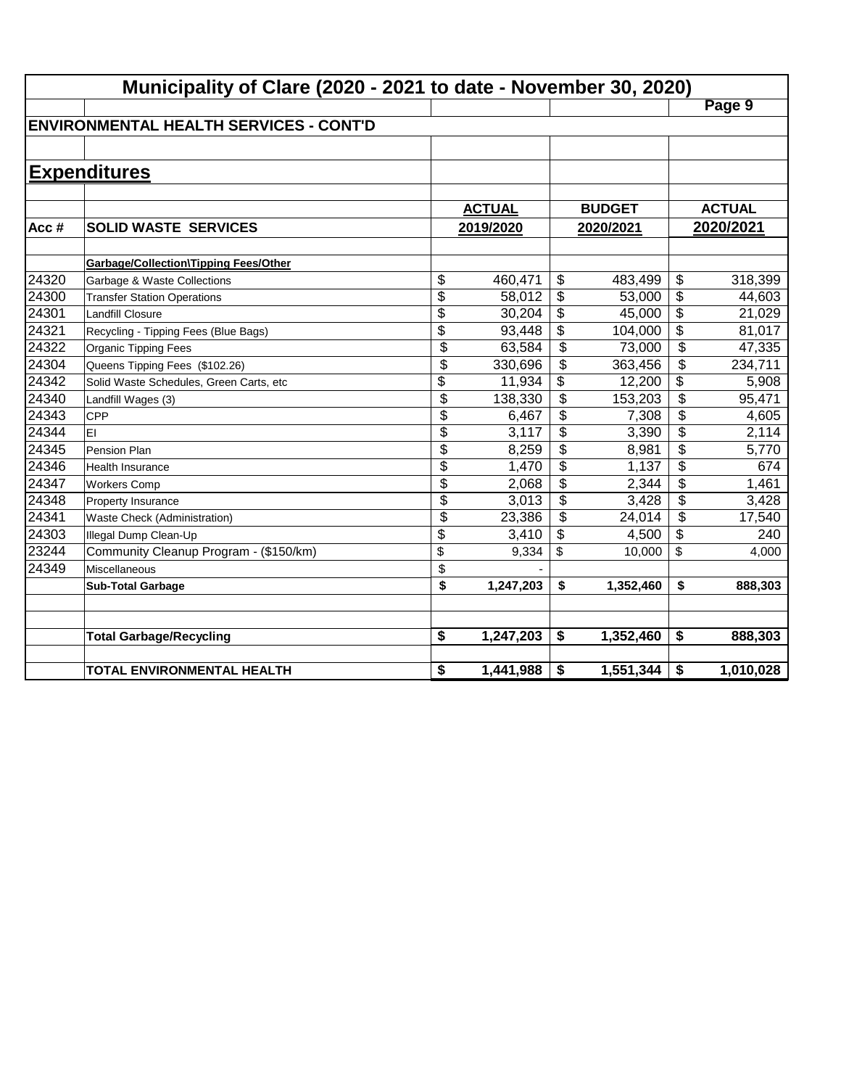|       | Municipality of Clare (2020 - 2021 to date - November 30, 2020) |                 |               |                          |               |                          |               |
|-------|-----------------------------------------------------------------|-----------------|---------------|--------------------------|---------------|--------------------------|---------------|
|       |                                                                 |                 |               |                          |               |                          | Page 9        |
|       | <b>IENVIRONMENTAL HEALTH SERVICES - CONT'D</b>                  |                 |               |                          |               |                          |               |
|       |                                                                 |                 |               |                          |               |                          |               |
|       | <b>Expenditures</b>                                             |                 |               |                          |               |                          |               |
|       |                                                                 |                 | <b>ACTUAL</b> |                          | <b>BUDGET</b> |                          | <b>ACTUAL</b> |
| Acc#  | <b>SOLID WASTE SERVICES</b>                                     |                 | 2019/2020     | 2020/2021                |               |                          | 2020/2021     |
|       | <b>Garbage/Collection\Tipping Fees/Other</b>                    |                 |               |                          |               |                          |               |
| 24320 | Garbage & Waste Collections                                     | \$              | 460,471       | \$                       | 483,499       | \$                       | 318,399       |
| 24300 | <b>Transfer Station Operations</b>                              | \$              | 58,012        | \$                       | 53,000        | \$                       | 44,603        |
| 24301 | <b>Landfill Closure</b>                                         | $\overline{\$}$ | 30,204        | \$                       | 45,000        | \$                       | 21,029        |
| 24321 | Recycling - Tipping Fees (Blue Bags)                            | $\overline{\$}$ | 93,448        | \$                       | 104,000       | \$                       | 81,017        |
| 24322 | <b>Organic Tipping Fees</b>                                     | \$              | 63,584        | \$                       | 73,000        | $\overline{\$}$          | 47,335        |
| 24304 | Queens Tipping Fees (\$102.26)                                  | \$              | 330,696       | \$                       | 363,456       | $\overline{\$}$          | 234,711       |
| 24342 | Solid Waste Schedules, Green Carts, etc                         | \$              | 11,934        | \$                       | 12,200        | \$                       | 5,908         |
| 24340 | Landfill Wages (3)                                              | \$              | 138,330       | $\overline{\mathcal{L}}$ | 153,203       | $\overline{\$}$          | 95,471        |
| 24343 | <b>CPP</b>                                                      | \$              | 6,467         | \$                       | 7,308         | $\overline{\$}$          | 4,605         |
| 24344 | EI                                                              | \$              | 3,117         | \$                       | 3,390         | $\overline{\$}$          | 2,114         |
| 24345 | Pension Plan                                                    | \$              | 8,259         | \$                       | 8,981         | \$                       | 5,770         |
| 24346 | Health Insurance                                                | \$              | 1,470         | \$                       | 1,137         | $\overline{\mathcal{S}}$ | 674           |
| 24347 | <b>Workers Comp</b>                                             | \$              | 2,068         | \$                       | 2,344         | \$                       | 1,461         |
| 24348 | Property Insurance                                              | \$              | 3,013         | \$                       | 3,428         | \$                       | 3,428         |
| 24341 | Waste Check (Administration)                                    | \$              | 23,386        | \$                       | 24,014        | \$                       | 17,540        |
| 24303 | Illegal Dump Clean-Up                                           | \$              | 3,410         | \$                       | 4,500         | \$                       | 240           |
| 23244 | Community Cleanup Program - (\$150/km)                          | \$              | 9,334         | \$                       | 10,000        | \$                       | 4,000         |
| 24349 | Miscellaneous                                                   | \$              |               |                          |               |                          |               |
|       | <b>Sub-Total Garbage</b>                                        | \$              | 1,247,203     | \$                       | 1,352,460     | \$                       | 888,303       |
|       | <b>Total Garbage/Recycling</b>                                  | \$              | 1,247,203     | \$                       | 1,352,460     | \$                       | 888,303       |
|       | <b>TOTAL ENVIRONMENTAL HEALTH</b>                               | \$              | 1,441,988     | \$                       | 1,551,344     | \$                       | 1,010,028     |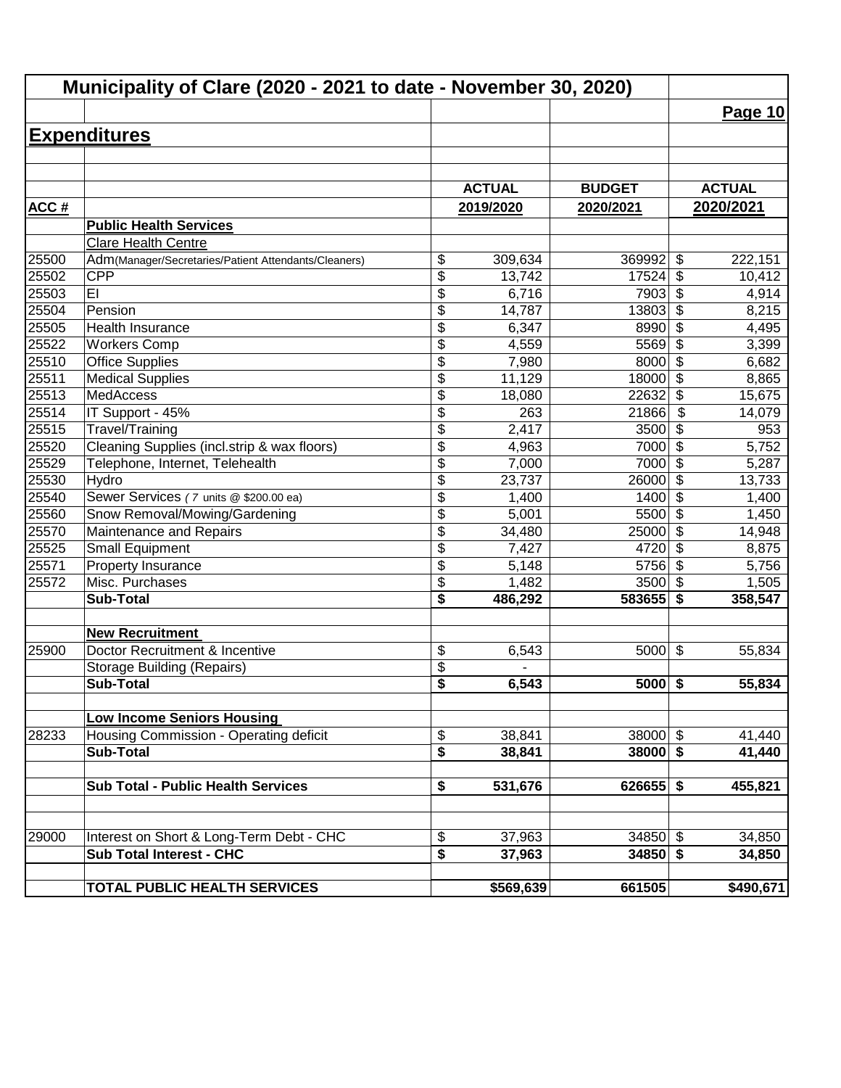|             | Municipality of Clare (2020 - 2021 to date - November 30, 2020) |                                      |               |               |                                  |               |
|-------------|-----------------------------------------------------------------|--------------------------------------|---------------|---------------|----------------------------------|---------------|
|             |                                                                 |                                      |               |               |                                  | Page 10       |
|             | <b>Expenditures</b>                                             |                                      |               |               |                                  |               |
|             |                                                                 |                                      |               |               |                                  |               |
|             |                                                                 |                                      |               |               |                                  |               |
|             |                                                                 |                                      | <b>ACTUAL</b> | <b>BUDGET</b> |                                  | <b>ACTUAL</b> |
| <b>ACC#</b> |                                                                 |                                      | 2019/2020     | 2020/2021     |                                  | 2020/2021     |
|             | <b>Public Health Services</b>                                   |                                      |               |               |                                  |               |
|             | Clare Health Centre                                             |                                      |               |               |                                  |               |
| 25500       | Adm(Manager/Secretaries/Patient Attendants/Cleaners)            | \$                                   | 309,634       | 369992        | \$                               | 222,151       |
| 25502       | <b>CPP</b>                                                      | \$                                   | 13,742        | 17524         | \$                               | 10,412        |
| 25503       | EI                                                              | \$                                   | 6,716         | 7903          | \$                               | 4,914         |
| 25504       | Pension                                                         | \$                                   | 14, 787       | 13803         | \$                               | 8,215         |
| 25505       | Health Insurance                                                | \$                                   | 6,347         | 8990          | $\overline{\boldsymbol{\theta}}$ | 4,495         |
| 25522       | <b>Workers Comp</b>                                             | \$                                   | 4,559         | 5569          | $\overline{\$}$                  | 3,399         |
| 25510       | <b>Office Supplies</b>                                          | $\overline{\$}$                      | 7,980         | 8000          | $\overline{\$}$                  | 6,682         |
| 25511       | <b>Medical Supplies</b>                                         | \$                                   | 11,129        | 18000         | $\overline{\mathcal{S}}$         | 8,865         |
| 25513       | <b>MedAccess</b>                                                | \$                                   | 18,080        | 22632         | $\overline{\$}$                  | 15,675        |
| 25514       | IT Support - 45%                                                | \$                                   | 263           | 21866         | \$                               | 14,079        |
| 25515       | Travel/Training                                                 | \$                                   | 2,417         | 3500          | \$                               | 953           |
| 25520       | Cleaning Supplies (incl.strip & wax floors)                     | $\overline{\$}$                      | 4,963         | 7000          | \$                               | 5,752         |
| 25529       | Telephone, Internet, Telehealth                                 | \$                                   | 7,000         | 7000          | $\boldsymbol{\mathsf{S}}$        | 5,287         |
| 25530       | Hydro                                                           | $\overline{\$}$                      | 23,737        | 26000         | $\boldsymbol{\mathsf{S}}$        | 13,733        |
| 25540       | Sewer Services (7 units @ \$200.00 ea)                          | \$                                   | 1,400         | 1400          | $\boldsymbol{\mathsf{S}}$        | 1,400         |
| 25560       | Snow Removal/Mowing/Gardening                                   | \$                                   | 5,001         | 5500          | $\overline{\mathcal{L}}$         | 1,450         |
| 25570       | Maintenance and Repairs                                         | \$                                   | 34,480        | 25000         | $\overline{\mathcal{S}}$         | 14,948        |
| 25525       | <b>Small Equipment</b>                                          | \$                                   | 7,427         | 4720          | \$                               | 8,875         |
| 25571       | Property Insurance                                              | \$                                   | 5,148         | 5756          | \$                               | 5,756         |
| 25572       | Misc. Purchases                                                 | \$                                   | 1,482         | 3500          | \$                               | 1,505         |
|             | <b>Sub-Total</b>                                                | \$                                   | 486,292       | 583655        | \$                               | 358,547       |
|             | <b>New Recruitment</b>                                          |                                      |               |               |                                  |               |
| 25900       | Doctor Recruitment & Incentive                                  | \$                                   | 6,543         | 5000          | $\boldsymbol{\mathsf{S}}$        | 55,834        |
|             | Storage Building (Repairs)                                      | \$                                   |               |               |                                  |               |
|             | Sub-Total                                                       | $\overline{\boldsymbol{s}}$          | 6,543         | $5000$ \$     |                                  | 55,834        |
|             | <b>Low Income Seniors Housing</b>                               |                                      |               |               |                                  |               |
| 28233       | Housing Commission - Operating deficit                          | \$                                   | 38,841        | $38000$ \$    |                                  | 41,440        |
|             | Sub-Total                                                       | \$                                   | 38,841        | $38000$ \$    |                                  | 41,440        |
|             |                                                                 |                                      |               |               |                                  |               |
|             | <b>Sub Total - Public Health Services</b>                       | \$                                   | 531,676       | $626655$ \$   |                                  | 455,821       |
|             |                                                                 |                                      |               |               |                                  |               |
| 29000       | Interest on Short & Long-Term Debt - CHC                        | \$                                   | 37,963        | $34850$ \$    |                                  | 34,850        |
|             | <b>Sub Total Interest - CHC</b>                                 | $\overline{\boldsymbol{\mathsf{s}}}$ | 37,963        | $34850$ \$    |                                  | 34,850        |
|             | <b>TOTAL PUBLIC HEALTH SERVICES</b>                             |                                      | \$569,639     | 661505        |                                  | \$490,671     |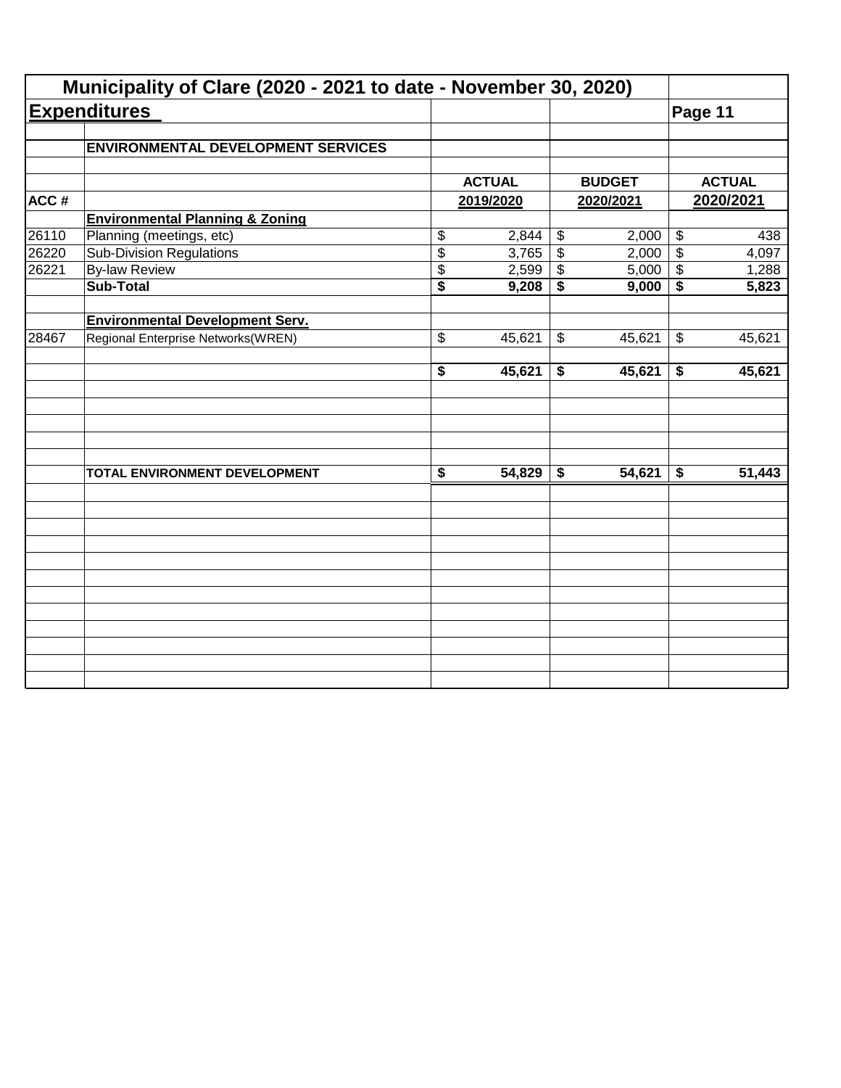|       | Municipality of Clare (2020 - 2021 to date - November 30, 2020) |                                      |               |                            |               |                            |               |
|-------|-----------------------------------------------------------------|--------------------------------------|---------------|----------------------------|---------------|----------------------------|---------------|
|       | <b>Expenditures</b>                                             |                                      |               |                            |               | Page 11                    |               |
|       | <b>ENVIRONMENTAL DEVELOPMENT SERVICES</b>                       |                                      |               |                            |               |                            |               |
|       |                                                                 |                                      | <b>ACTUAL</b> |                            | <b>BUDGET</b> |                            | <b>ACTUAL</b> |
| ACC#  |                                                                 |                                      | 2019/2020     |                            | 2020/2021     |                            | 2020/2021     |
|       | <b>Environmental Planning &amp; Zoning</b>                      |                                      |               |                            |               |                            |               |
| 26110 | Planning (meetings, etc)                                        | \$                                   | 2,844         | $\boldsymbol{\mathsf{\$}}$ | 2,000         | $\boldsymbol{\mathsf{\$}}$ | 438           |
| 26220 | <b>Sub-Division Regulations</b>                                 | $\overline{\$}$                      | 3,765         | $\overline{\mathcal{L}}$   | 2,000         | $\overline{\$}$            | 4,097         |
| 26221 | <b>By-law Review</b>                                            | \$                                   | 2,599         | \$                         | 5,000         | $\boldsymbol{\mathsf{\$}}$ | 1,288         |
|       | <b>Sub-Total</b>                                                | $\overline{\$}$                      | 9,208         | \$                         | 9,000         | \$                         | 5,823         |
|       | <b>Environmental Development Serv.</b>                          |                                      |               |                            |               |                            |               |
| 28467 | Regional Enterprise Networks(WREN)                              | \$                                   | 45,621        | \$                         | 45,621        | $\boldsymbol{\mathsf{\$}}$ | 45,621        |
|       |                                                                 | $\overline{\boldsymbol{s}}$          | 45,621        | \$                         | 45,621        | \$                         | 45,621        |
|       |                                                                 |                                      |               |                            |               |                            |               |
|       | TOTAL ENVIRONMENT DEVELOPMENT                                   | $\overline{\boldsymbol{\mathsf{s}}}$ | 54,829        | \$                         | 54,621        | \$                         | 51,443        |
|       |                                                                 |                                      |               |                            |               |                            |               |
|       |                                                                 |                                      |               |                            |               |                            |               |
|       |                                                                 |                                      |               |                            |               |                            |               |
|       |                                                                 |                                      |               |                            |               |                            |               |
|       |                                                                 |                                      |               |                            |               |                            |               |
|       |                                                                 |                                      |               |                            |               |                            |               |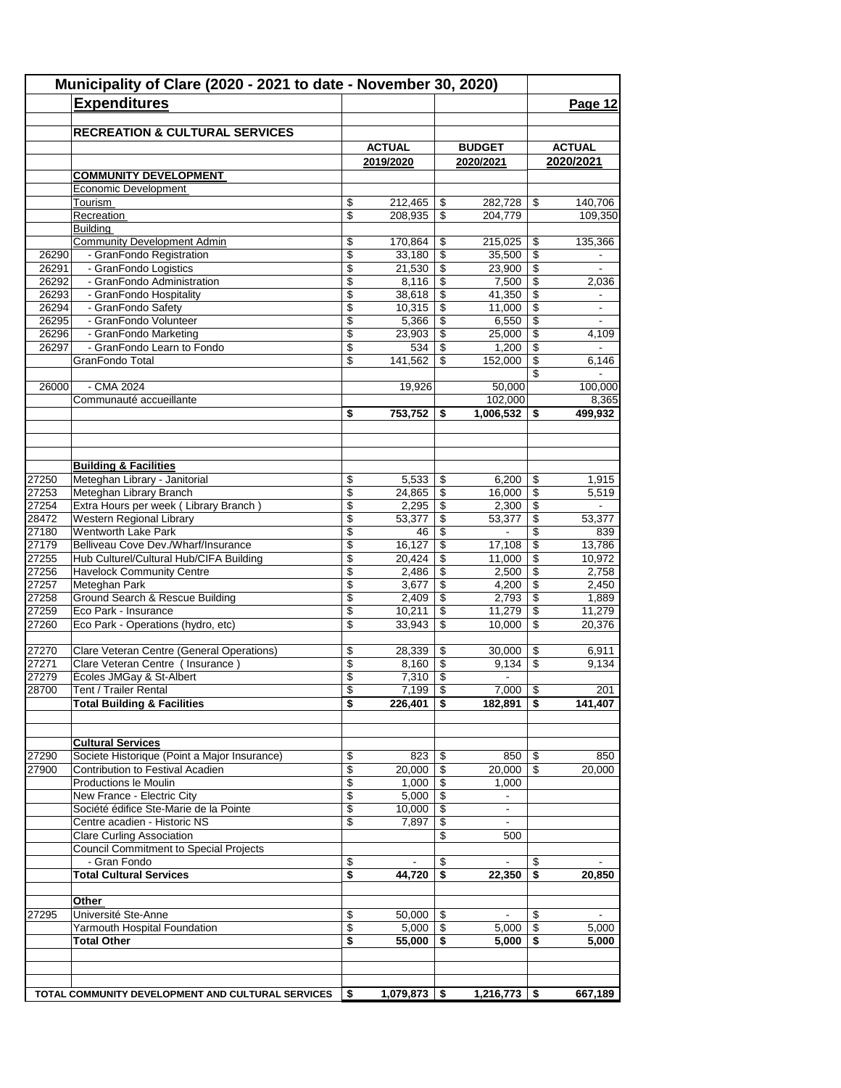|       | Municipality of Clare (2020 - 2021 to date - November 30, 2020)<br><b>Expenditures</b> |          |                    |                          |                          |                          | Page 12        |
|-------|----------------------------------------------------------------------------------------|----------|--------------------|--------------------------|--------------------------|--------------------------|----------------|
|       | <b>RECREATION &amp; CULTURAL SERVICES</b>                                              |          |                    |                          |                          |                          |                |
|       |                                                                                        |          | <b>ACTUAL</b>      |                          | <b>BUDGET</b>            |                          | <b>ACTUAL</b>  |
|       |                                                                                        |          | 2019/2020          |                          | 2020/2021                |                          | 2020/2021      |
|       | <b>COMMUNITY DEVELOPMENT</b>                                                           |          |                    |                          |                          |                          |                |
|       | Economic Development                                                                   |          |                    |                          |                          |                          |                |
|       | Tourism                                                                                | \$<br>\$ | 212,465<br>208,935 | \$<br>\$                 | 282,728<br>204.779       | \$                       | 140,706        |
|       | Recreation<br><b>Building</b>                                                          |          |                    |                          |                          |                          | 109,350        |
|       | <b>Community Development Admin</b>                                                     | \$       | 170,864            | \$                       | 215,025                  | \$                       | 135,366        |
| 26290 | - GranFondo Registration                                                               | \$       | 33,180             | $\overline{\mathcal{S}}$ | 35,500                   | $\overline{\$}$          |                |
| 26291 | - GranFondo Logistics                                                                  | \$       | 21,530             | \$                       | 23,900                   | \$                       |                |
| 26292 | - GranFondo Administration                                                             | \$       | 8,116              | \$                       | 7,500                    | \$                       | 2,036          |
| 26293 | - GranFondo Hospitality                                                                | \$       | 38,618             | \$                       | 41,350                   | \$                       | $\blacksquare$ |
| 26294 | - GranFondo Safety                                                                     | \$       | 10,315             | \$                       | 11,000                   | \$                       |                |
| 26295 | - GranFondo Volunteer                                                                  | \$       | 5,366              | $\overline{\mathcal{S}}$ | 6,550                    | \$                       |                |
| 26296 | - GranFondo Marketing                                                                  | \$       | 23,903             | \$                       | 25,000                   | \$                       | 4,109          |
| 26297 | - GranFondo Learn to Fondo                                                             | \$       | 534                | \$                       | 1,200                    | \$                       | $\sim$         |
|       | GranFondo Total                                                                        | \$       | 141,562            | \$                       | 152,000                  | \$                       | 6,146          |
|       |                                                                                        |          |                    |                          |                          | \$                       |                |
| 26000 | $-CMA$ 2024                                                                            |          | 19,926             |                          | 50,000                   |                          | 100,000        |
|       | Communauté accueillante                                                                |          |                    |                          | 102,000                  |                          | 8,365          |
|       |                                                                                        | \$       | 753,752            | \$                       | 1,006,532                | \$                       | 499,932        |
|       |                                                                                        |          |                    |                          |                          |                          |                |
|       | <b>Building &amp; Facilities</b>                                                       |          |                    |                          |                          |                          |                |
| 27250 | Meteghan Library - Janitorial                                                          | \$       | 5,533              | \$                       | 6,200                    | \$                       | 1,915          |
| 27253 | Meteghan Library Branch                                                                | \$       | 24,865             | \$                       | 16,000                   | \$                       | 5,519          |
| 27254 | Extra Hours per week (Library Branch)                                                  | \$       | 2,295              | \$                       | 2,300                    | \$                       |                |
| 28472 | Western Regional Library                                                               | \$       | 53,377             | \$                       | 53,377                   | $\overline{\mathcal{S}}$ | 53,377         |
| 27180 | <b>Wentworth Lake Park</b>                                                             | \$       | 46                 | \$                       | $\blacksquare$           | \$                       | 839            |
| 27179 | Belliveau Cove Dev./Wharf/Insurance                                                    | \$       | 16,127             | \$                       | 17,108                   | \$                       | 13,786         |
| 27255 | Hub Culturel/Cultural Hub/CIFA Building                                                | \$       | 20,424             | \$                       | 11,000                   | \$                       | 10,972         |
| 27256 | <b>Havelock Community Centre</b>                                                       | \$       | 2,486              | \$                       | 2,500                    | \$                       | 2,758          |
| 27257 | Meteghan Park                                                                          | \$       | 3,677              | \$                       | 4,200                    | \$                       | 2,450          |
| 27258 | Ground Search & Rescue Building                                                        | \$       | 2,409              | \$                       | 2,793                    | \$                       | 1,889          |
| 27259 | Eco Park - Insurance                                                                   | \$       | 10,211             | \$                       | 11,279                   | \$                       | 11,279         |
| 27260 | Eco Park - Operations (hydro, etc)                                                     | \$       | 33,943             | \$                       | 10,000                   | \$                       | 20,376         |
|       |                                                                                        |          |                    |                          |                          |                          |                |
| 27270 | Clare Veteran Centre (General Operations)                                              | \$       | 28,339             | \$                       | 30,000                   | \$                       | 6,911          |
| 27271 | Clare Veteran Centre (Insurance)                                                       | \$       | 8,160              | \$                       | 9,134                    | \$                       | 9,134          |
| 27279 | Écoles JMGay & St-Albert                                                               | \$       | 7,310              | \$                       | $\blacksquare$           |                          |                |
| 28700 | Tent / Trailer Rental                                                                  | \$       | 7,199              | $\overline{s}$           | 7,000                    | $\overline{\mathbf{S}}$  | 201            |
|       | <b>Total Building &amp; Facilities</b>                                                 | \$       | 226,401            | \$                       | 182,891                  | \$                       | 141,407        |
|       | <b>Cultural Services</b>                                                               |          |                    |                          |                          |                          |                |
| 27290 | Societe Historique (Point a Major Insurance)                                           | \$       | 823                | -\$                      | 850                      | \$                       | 850            |
| 27900 | Contribution to Festival Acadien                                                       | \$       | 20,000             | \$                       | 20,000                   | -\$                      | 20,000         |
|       | Productions le Moulin                                                                  | \$       | 1,000              | $\sqrt[6]{\frac{1}{2}}$  | 1,000                    |                          |                |
|       | New France - Electric City                                                             | \$       | 5,000              | \$                       | ٠                        |                          |                |
|       | Société édifice Ste-Marie de la Pointe                                                 | \$       | 10,000             | \$                       | $\overline{\phantom{a}}$ |                          |                |
|       | Centre acadien - Historic NS                                                           | \$       | 7,897              | \$                       | $\overline{\phantom{a}}$ |                          |                |
|       | <b>Clare Curling Association</b>                                                       |          |                    | \$                       | 500                      |                          |                |
|       | <b>Council Commitment to Special Projects</b>                                          |          |                    |                          |                          |                          |                |
|       | - Gran Fondo                                                                           | \$       |                    | \$                       | $\blacksquare$           | \$                       | $\blacksquare$ |
|       | <b>Total Cultural Services</b>                                                         | \$       | 44,720             | \$                       | 22,350                   | S                        | 20,850         |
|       | Other                                                                                  |          |                    |                          |                          |                          |                |
| 27295 | Université Ste-Anne                                                                    | \$       | 50,000             | - \$                     |                          | \$                       |                |
|       | Yarmouth Hospital Foundation                                                           | \$       | 5,000              | -\$                      | 5,000                    | \$                       | 5,000          |
|       | <b>Total Other</b>                                                                     | \$       | 55,000             | S.                       | 5,000                    | S                        | 5,000          |
|       |                                                                                        |          |                    |                          |                          |                          |                |
|       |                                                                                        |          |                    |                          |                          |                          |                |
|       | TOTAL COMMUNITY DEVELOPMENT AND CULTURAL SERVICES                                      | \$       | 1,079,873          | - \$                     | 1,216,773                | \$                       | 667,189        |